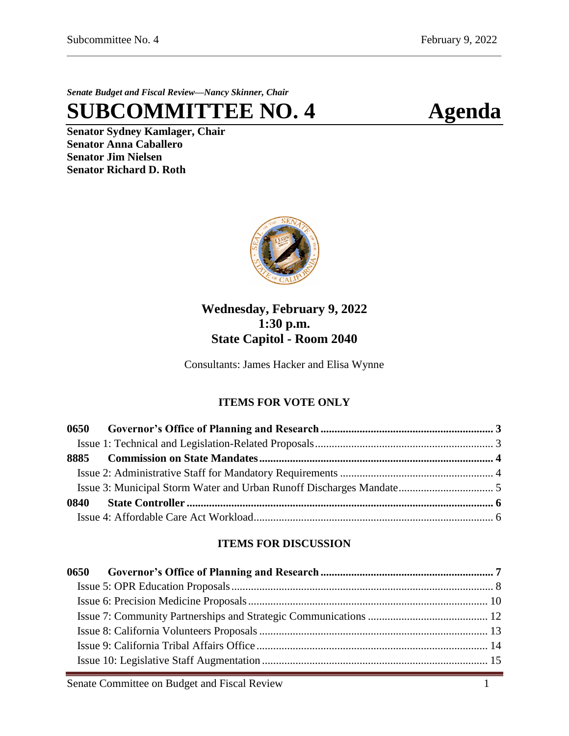*Senate Budget and Fiscal Review—Nancy Skinner, Chair*

**SUBCOMMITTEE NO. 4 Agenda**

**Senator Sydney Kamlager, Chair Senator Anna Caballero Senator Jim Nielsen Senator Richard D. Roth** 



# **Wednesday, February 9, 2022 1:30 p.m. State Capitol - Room 2040**

Consultants: James Hacker and Elisa Wynne

# **ITEMS FOR VOTE ONLY**

# **ITEMS FOR DISCUSSION**

Senate Committee on Budget and Fiscal Review 1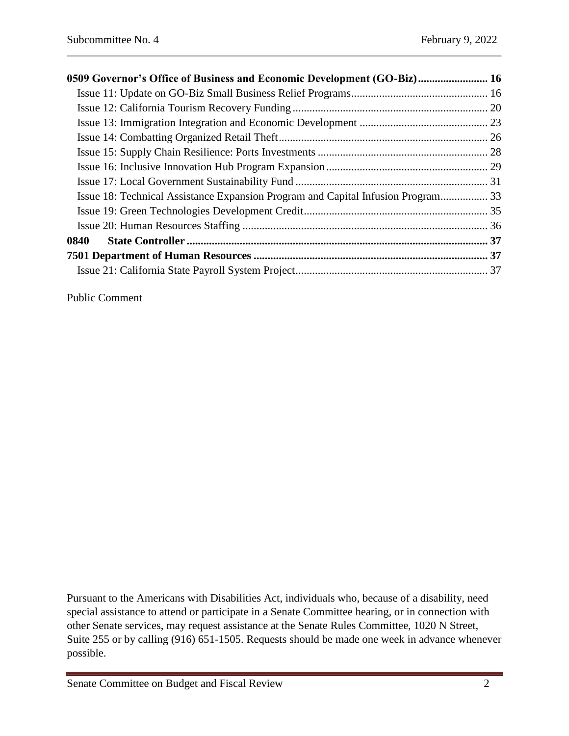| 0509 Governor's Office of Business and Economic Development (GO-Biz) 16          |  |
|----------------------------------------------------------------------------------|--|
|                                                                                  |  |
|                                                                                  |  |
|                                                                                  |  |
|                                                                                  |  |
|                                                                                  |  |
|                                                                                  |  |
|                                                                                  |  |
| Issue 18: Technical Assistance Expansion Program and Capital Infusion Program 33 |  |
|                                                                                  |  |
|                                                                                  |  |
|                                                                                  |  |
|                                                                                  |  |
|                                                                                  |  |

Public Comment

Pursuant to the Americans with Disabilities Act, individuals who, because of a disability, need special assistance to attend or participate in a Senate Committee hearing, or in connection with other Senate services, may request assistance at the Senate Rules Committee, 1020 N Street, Suite 255 or by calling (916) 651-1505. Requests should be made one week in advance whenever possible.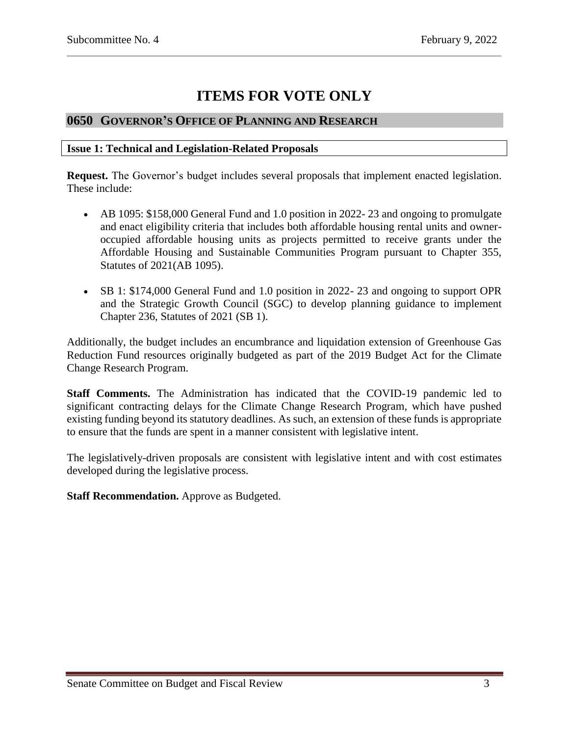# **ITEMS FOR VOTE ONLY**

# <span id="page-2-0"></span>**0650 GOVERNOR'S OFFICE OF PLANNING AND RESEARCH**

#### <span id="page-2-1"></span>**Issue 1: Technical and Legislation-Related Proposals**

**Request.** The Governor's budget includes several proposals that implement enacted legislation. These include:

- AB 1095: \$158,000 General Fund and 1.0 position in 2022- 23 and ongoing to promulgate and enact eligibility criteria that includes both affordable housing rental units and owneroccupied affordable housing units as projects permitted to receive grants under the Affordable Housing and Sustainable Communities Program pursuant to Chapter 355, Statutes of 2021(AB 1095).
- SB 1: \$174,000 General Fund and 1.0 position in 2022- 23 and ongoing to support OPR and the Strategic Growth Council (SGC) to develop planning guidance to implement Chapter 236, Statutes of 2021 (SB 1).

Additionally, the budget includes an encumbrance and liquidation extension of Greenhouse Gas Reduction Fund resources originally budgeted as part of the 2019 Budget Act for the Climate Change Research Program.

**Staff Comments.** The Administration has indicated that the COVID-19 pandemic led to significant contracting delays for the Climate Change Research Program, which have pushed existing funding beyond its statutory deadlines. As such, an extension of these funds is appropriate to ensure that the funds are spent in a manner consistent with legislative intent.

The legislatively-driven proposals are consistent with legislative intent and with cost estimates developed during the legislative process.

**Staff Recommendation.** Approve as Budgeted.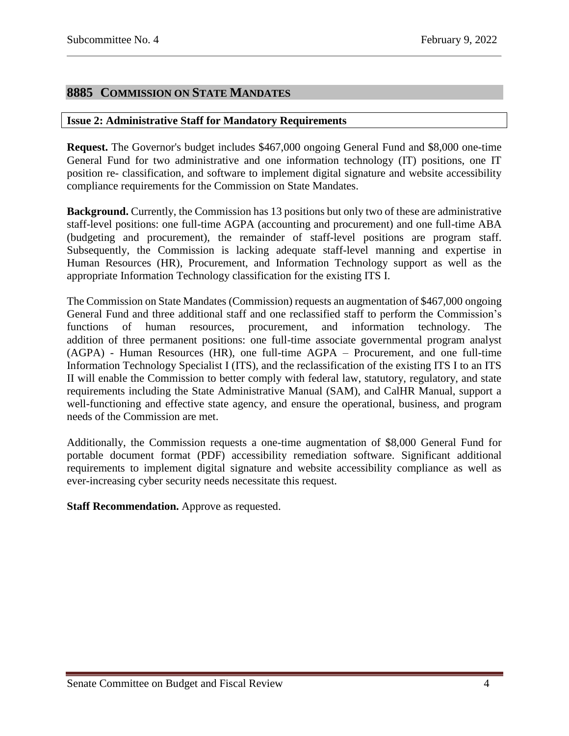# <span id="page-3-0"></span>**8885 COMMISSION ON STATE MANDATES**

#### <span id="page-3-1"></span>**Issue 2: Administrative Staff for Mandatory Requirements**

**Request.** The Governor's budget includes \$467,000 ongoing General Fund and \$8,000 one-time General Fund for two administrative and one information technology (IT) positions, one IT position re- classification, and software to implement digital signature and website accessibility compliance requirements for the Commission on State Mandates.

**Background.** Currently, the Commission has 13 positions but only two of these are administrative staff-level positions: one full-time AGPA (accounting and procurement) and one full-time ABA (budgeting and procurement), the remainder of staff-level positions are program staff. Subsequently, the Commission is lacking adequate staff-level manning and expertise in Human Resources (HR), Procurement, and Information Technology support as well as the appropriate Information Technology classification for the existing ITS I.

The Commission on State Mandates (Commission) requests an augmentation of \$467,000 ongoing General Fund and three additional staff and one reclassified staff to perform the Commission's functions of human resources, procurement, and information technology. The functions of human resources, procurement, and information technology. The addition of three permanent positions: one full-time associate governmental program analyst (AGPA) - Human Resources (HR), one full-time AGPA – Procurement, and one full-time Information Technology Specialist I (ITS), and the reclassification of the existing ITS I to an ITS II will enable the Commission to better comply with federal law, statutory, regulatory, and state requirements including the State Administrative Manual (SAM), and CalHR Manual, support a well-functioning and effective state agency, and ensure the operational, business, and program needs of the Commission are met.

Additionally, the Commission requests a one-time augmentation of \$8,000 General Fund for portable document format (PDF) accessibility remediation software. Significant additional requirements to implement digital signature and website accessibility compliance as well as ever-increasing cyber security needs necessitate this request.

**Staff Recommendation.** Approve as requested.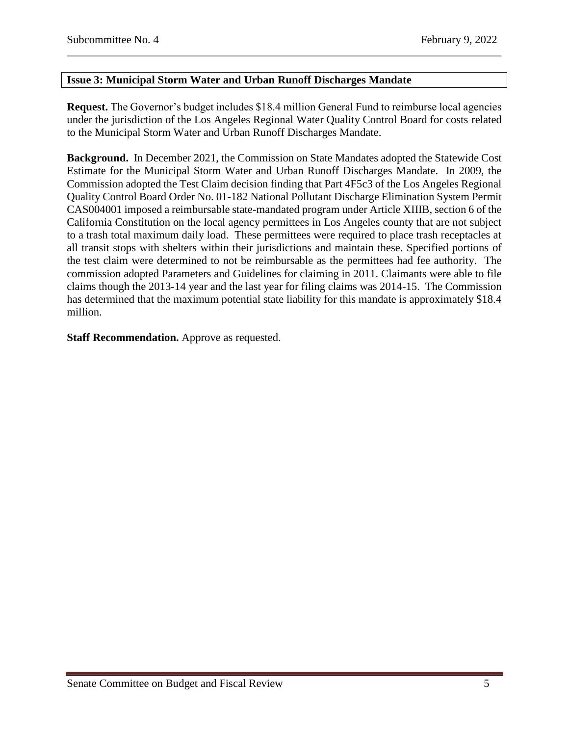# <span id="page-4-0"></span>**Issue 3: Municipal Storm Water and Urban Runoff Discharges Mandate**

**Request.** The Governor's budget includes \$18.4 million General Fund to reimburse local agencies under the jurisdiction of the Los Angeles Regional Water Quality Control Board for costs related to the Municipal Storm Water and Urban Runoff Discharges Mandate.

**Background.** In December 2021, the Commission on State Mandates adopted the Statewide Cost Estimate for the Municipal Storm Water and Urban Runoff Discharges Mandate. In 2009, the Commission adopted the Test Claim decision finding that Part 4F5c3 of the Los Angeles Regional Quality Control Board Order No. 01-182 National Pollutant Discharge Elimination System Permit CAS004001 imposed a reimbursable state-mandated program under Article XIIIB, section 6 of the California Constitution on the local agency permittees in Los Angeles county that are not subject to a trash total maximum daily load. These permittees were required to place trash receptacles at all transit stops with shelters within their jurisdictions and maintain these. Specified portions of the test claim were determined to not be reimbursable as the permittees had fee authority. The commission adopted Parameters and Guidelines for claiming in 2011. Claimants were able to file claims though the 2013-14 year and the last year for filing claims was 2014-15. The Commission has determined that the maximum potential state liability for this mandate is approximately \$18.4 million.

**Staff Recommendation.** Approve as requested.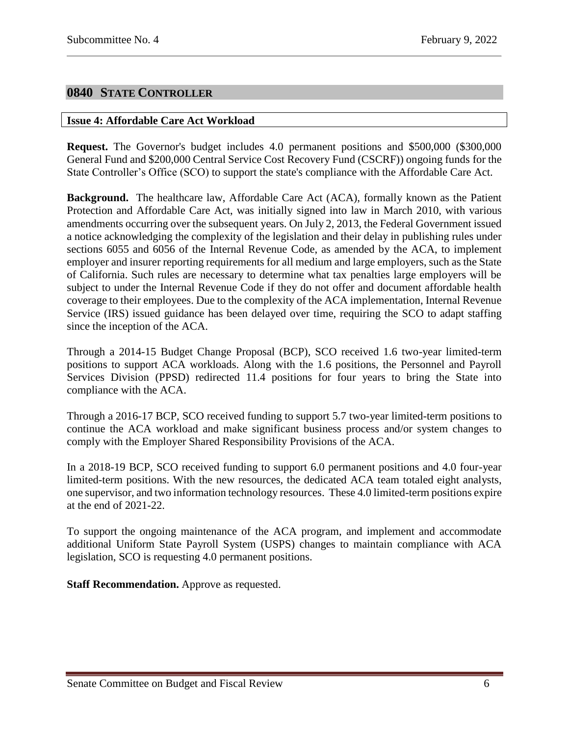# <span id="page-5-0"></span>**0840 STATE CONTROLLER**

#### <span id="page-5-1"></span>**Issue 4: Affordable Care Act Workload**

**Request.** The Governor's budget includes 4.0 permanent positions and \$500,000 (\$300,000 General Fund and \$200,000 Central Service Cost Recovery Fund (CSCRF)) ongoing funds for the State Controller's Office (SCO) to support the state's compliance with the Affordable Care Act.

**Background.** The healthcare law, Affordable Care Act (ACA), formally known as the Patient Protection and Affordable Care Act, was initially signed into law in March 2010, with various amendments occurring over the subsequent years. On July 2, 2013, the Federal Government issued a notice acknowledging the complexity of the legislation and their delay in publishing rules under sections 6055 and 6056 of the Internal Revenue Code, as amended by the ACA, to implement employer and insurer reporting requirements for all medium and large employers, such as the State of California. Such rules are necessary to determine what tax penalties large employers will be subject to under the Internal Revenue Code if they do not offer and document affordable health coverage to their employees. Due to the complexity of the ACA implementation, Internal Revenue Service (IRS) issued guidance has been delayed over time, requiring the SCO to adapt staffing since the inception of the ACA.

Through a 2014-15 Budget Change Proposal (BCP), SCO received 1.6 two-year limited-term positions to support ACA workloads. Along with the 1.6 positions, the Personnel and Payroll Services Division (PPSD) redirected 11.4 positions for four years to bring the State into compliance with the ACA.

Through a 2016-17 BCP, SCO received funding to support 5.7 two-year limited-term positions to continue the ACA workload and make significant business process and/or system changes to comply with the Employer Shared Responsibility Provisions of the ACA.

In a 2018-19 BCP, SCO received funding to support 6.0 permanent positions and 4.0 four-year limited-term positions. With the new resources, the dedicated ACA team totaled eight analysts, one supervisor, and two information technology resources. These 4.0 limited-term positions expire at the end of 2021-22.

To support the ongoing maintenance of the ACA program, and implement and accommodate additional Uniform State Payroll System (USPS) changes to maintain compliance with ACA legislation, SCO is requesting 4.0 permanent positions.

**Staff Recommendation.** Approve as requested.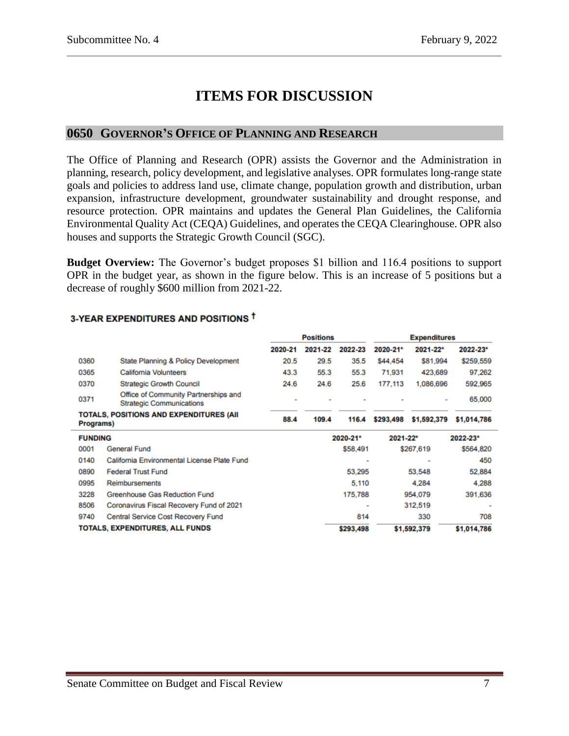# **ITEMS FOR DISCUSSION**

# <span id="page-6-0"></span>**0650 GOVERNOR'S OFFICE OF PLANNING AND RESEARCH**

The Office of Planning and Research (OPR) assists the Governor and the Administration in planning, research, policy development, and legislative analyses. OPR formulates long-range state goals and policies to address land use, climate change, population growth and distribution, urban expansion, infrastructure development, groundwater sustainability and drought response, and resource protection. OPR maintains and updates the General Plan Guidelines, the California Environmental Quality Act (CEQA) Guidelines, and operates the CEQA Clearinghouse. OPR also houses and supports the Strategic Growth Council (SGC).

**Budget Overview:** The Governor's budget proposes \$1 billion and 116.4 positions to support OPR in the budget year, as shown in the figure below. This is an increase of 5 positions but a decrease of roughly \$600 million from 2021-22.

|                                                      |                                                                         | <b>Positions</b> |         | <b>Expenditures</b> |           |             |             |
|------------------------------------------------------|-------------------------------------------------------------------------|------------------|---------|---------------------|-----------|-------------|-------------|
|                                                      |                                                                         | 2020-21          | 2021-22 | 2022-23             | 2020-21*  | 2021-22*    | 2022-23*    |
| 0360                                                 | State Planning & Policy Development                                     | 20.5             | 29.5    | 35.5                | \$44,454  | \$81,994    | \$259,559   |
| 0365                                                 | <b>California Volunteers</b>                                            | 43.3             | 55.3    | 55.3                | 71,931    | 423,689     | 97.262      |
| 0370                                                 | <b>Strategic Growth Council</b>                                         | 24.6             | 24.6    | 25.6                | 177,113   | 1,086,696   | 592,965     |
| 0371                                                 | Office of Community Partnerships and<br><b>Strategic Communications</b> |                  |         |                     |           |             | 65,000      |
| TOTALS, POSITIONS AND EXPENDITURES (AII<br>Programs) |                                                                         | 88.4             | 109.4   | 116.4               | \$293,498 | \$1,592,379 | \$1,014,786 |
| <b>FUNDING</b>                                       |                                                                         |                  |         | 2020-21*            | 2021-22*  |             | 2022-23*    |
| 0001                                                 | General Fund                                                            |                  |         | \$58,491            |           | \$267,619   | \$564,820   |
| 0140                                                 | California Environmental License Plate Fund                             |                  |         |                     |           |             | 450         |
| 0890                                                 | <b>Federal Trust Fund</b>                                               |                  |         | 53,295              |           | 53,548      | 52,884      |
| 0995                                                 | <b>Reimbursements</b>                                                   | 5.110<br>4.284   |         |                     | 4,288     |             |             |
| 3228                                                 | Greenhouse Gas Reduction Fund<br>175,788<br>954,079                     |                  |         | 391,636             |           |             |             |
| 8506                                                 | Coronavirus Fiscal Recovery Fund of 2021                                |                  |         | ۰                   |           | 312,519     |             |
| 9740                                                 | Central Service Cost Recovery Fund                                      |                  |         | 814                 |           | 330         | 708         |
| TOTALS. EXPENDITURES, ALL FUNDS                      |                                                                         |                  |         | \$293,498           |           | \$1,592,379 | \$1,014,786 |

## 3-YEAR EXPENDITURES AND POSITIONS <sup>†</sup>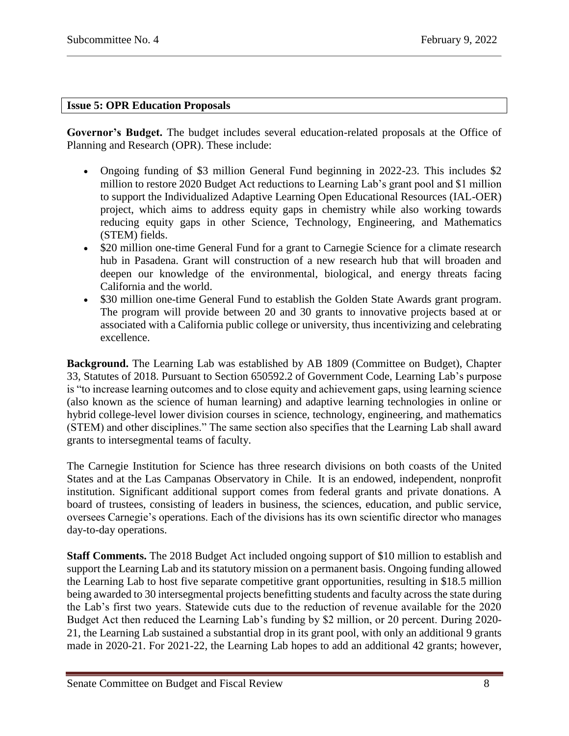## <span id="page-7-0"></span>**Issue 5: OPR Education Proposals**

**Governor's Budget.** The budget includes several education-related proposals at the Office of Planning and Research (OPR). These include:

- Ongoing funding of \$3 million General Fund beginning in 2022-23. This includes \$2 million to restore 2020 Budget Act reductions to Learning Lab's grant pool and \$1 million to support the Individualized Adaptive Learning Open Educational Resources (IAL-OER) project, which aims to address equity gaps in chemistry while also working towards reducing equity gaps in other Science, Technology, Engineering, and Mathematics (STEM) fields.
- \$20 million one-time General Fund for a grant to Carnegie Science for a climate research hub in Pasadena. Grant will construction of a new research hub that will broaden and deepen our knowledge of the environmental, biological, and energy threats facing California and the world.
- \$30 million one-time General Fund to establish the Golden State Awards grant program. The program will provide between 20 and 30 grants to innovative projects based at or associated with a California public college or university, thus incentivizing and celebrating excellence.

**Background.** The Learning Lab was established by AB 1809 (Committee on Budget), Chapter 33, Statutes of 2018. Pursuant to Section 650592.2 of Government Code, Learning Lab's purpose is "to increase learning outcomes and to close equity and achievement gaps, using learning science (also known as the science of human learning) and adaptive learning technologies in online or hybrid college-level lower division courses in science, technology, engineering, and mathematics (STEM) and other disciplines." The same section also specifies that the Learning Lab shall award grants to intersegmental teams of faculty.

The Carnegie Institution for Science has three research divisions on both coasts of the United States and at the Las Campanas Observatory in Chile. It is an endowed, independent, nonprofit institution. Significant additional support comes from federal grants and private donations. A board of trustees, consisting of leaders in business, the sciences, education, and public service, oversees Carnegie's operations. Each of the divisions has its own scientific director who manages day-to-day operations.

**Staff Comments.** The 2018 Budget Act included ongoing support of \$10 million to establish and support the Learning Lab and its statutory mission on a permanent basis. Ongoing funding allowed the Learning Lab to host five separate competitive grant opportunities, resulting in \$18.5 million being awarded to 30 intersegmental projects benefitting students and faculty across the state during the Lab's first two years. Statewide cuts due to the reduction of revenue available for the 2020 Budget Act then reduced the Learning Lab's funding by \$2 million, or 20 percent. During 2020- 21, the Learning Lab sustained a substantial drop in its grant pool, with only an additional 9 grants made in 2020-21. For 2021-22, the Learning Lab hopes to add an additional 42 grants; however,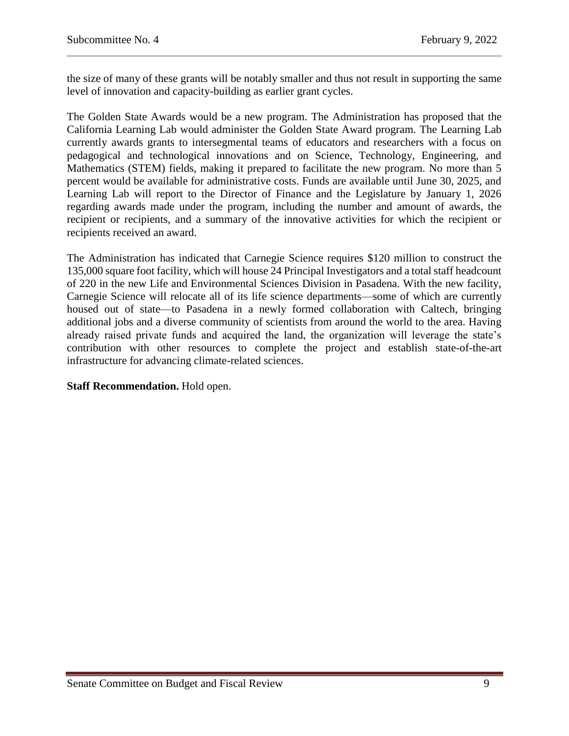the size of many of these grants will be notably smaller and thus not result in supporting the same level of innovation and capacity-building as earlier grant cycles.

The Golden State Awards would be a new program. The Administration has proposed that the California Learning Lab would administer the Golden State Award program. The Learning Lab currently awards grants to intersegmental teams of educators and researchers with a focus on pedagogical and technological innovations and on Science, Technology, Engineering, and Mathematics (STEM) fields, making it prepared to facilitate the new program. No more than 5 percent would be available for administrative costs. Funds are available until June 30, 2025, and Learning Lab will report to the Director of Finance and the Legislature by January 1, 2026 regarding awards made under the program, including the number and amount of awards, the recipient or recipients, and a summary of the innovative activities for which the recipient or recipients received an award.

The Administration has indicated that Carnegie Science requires \$120 million to construct the 135,000 square foot facility, which will house 24 Principal Investigators and a total staff headcount of 220 in the new Life and Environmental Sciences Division in Pasadena. With the new facility, Carnegie Science will relocate all of its life science departments—some of which are currently housed out of state—to Pasadena in a newly formed collaboration with Caltech, bringing additional jobs and a diverse community of scientists from around the world to the area. Having already raised private funds and acquired the land, the organization will leverage the state's contribution with other resources to complete the project and establish state-of-the-art infrastructure for advancing climate-related sciences.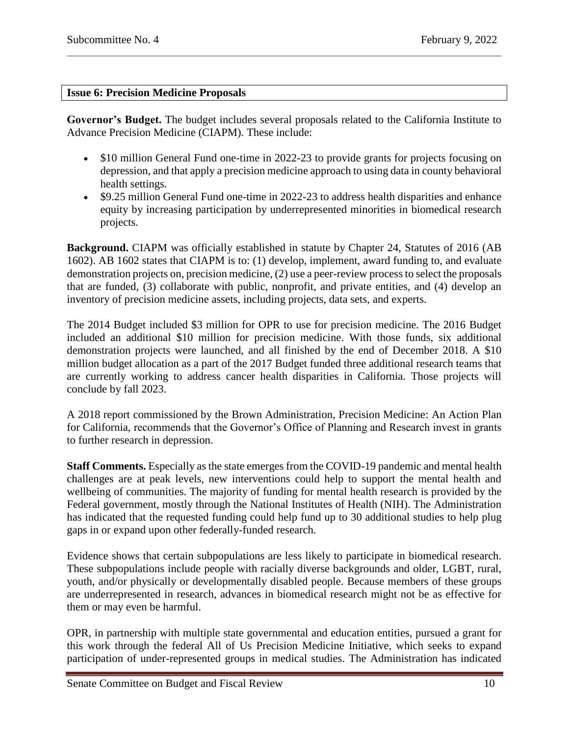### <span id="page-9-0"></span>**Issue 6: Precision Medicine Proposals**

**Governor's Budget.** The budget includes several proposals related to the California Institute to Advance Precision Medicine (CIAPM). These include:

- \$10 million General Fund one-time in 2022-23 to provide grants for projects focusing on depression, and that apply a precision medicine approach to using data in county behavioral health settings.
- \$9.25 million General Fund one-time in 2022-23 to address health disparities and enhance equity by increasing participation by underrepresented minorities in biomedical research projects.

**Background.** CIAPM was officially established in statute by Chapter 24, Statutes of 2016 (AB 1602). AB 1602 states that CIAPM is to: (1) develop, implement, award funding to, and evaluate demonstration projects on, precision medicine, (2) use a peer-review process to select the proposals that are funded, (3) collaborate with public, nonprofit, and private entities, and (4) develop an inventory of precision medicine assets, including projects, data sets, and experts.

The 2014 Budget included \$3 million for OPR to use for precision medicine. The 2016 Budget included an additional \$10 million for precision medicine. With those funds, six additional demonstration projects were launched, and all finished by the end of December 2018. A \$10 million budget allocation as a part of the 2017 Budget funded three additional research teams that are currently working to address cancer health disparities in California. Those projects will conclude by fall 2023.

A 2018 report commissioned by the Brown Administration, Precision Medicine: An Action Plan for California, recommends that the Governor's Office of Planning and Research invest in grants to further research in depression.

**Staff Comments.** Especially as the state emerges from the COVID-19 pandemic and mental health challenges are at peak levels, new interventions could help to support the mental health and wellbeing of communities. The majority of funding for mental health research is provided by the Federal government, mostly through the National Institutes of Health (NIH). The Administration has indicated that the requested funding could help fund up to 30 additional studies to help plug gaps in or expand upon other federally-funded research.

Evidence shows that certain subpopulations are less likely to participate in biomedical research. These subpopulations include people with racially diverse backgrounds and older, LGBT, rural, youth, and/or physically or developmentally disabled people. Because members of these groups are underrepresented in research, advances in biomedical research might not be as effective for them or may even be harmful.

OPR, in partnership with multiple state governmental and education entities, pursued a grant for this work through the federal All of Us Precision Medicine Initiative, which seeks to expand participation of under-represented groups in medical studies. The Administration has indicated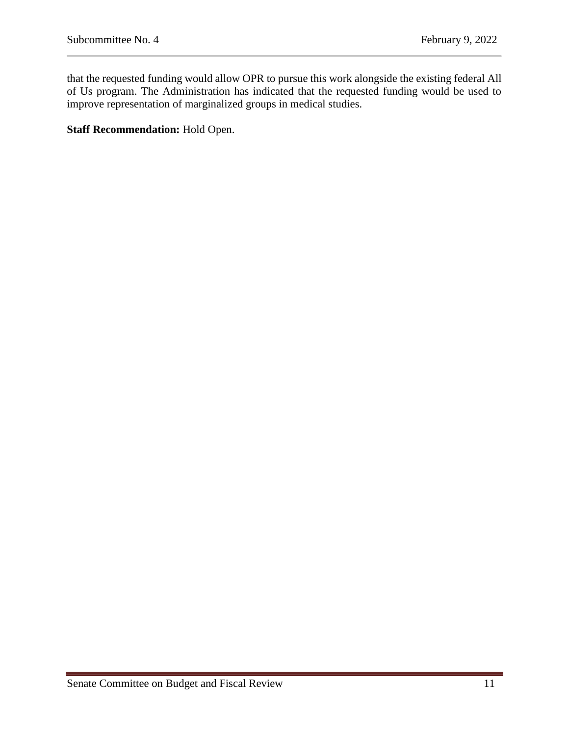that the requested funding would allow OPR to pursue this work alongside the existing federal All of Us program. The Administration has indicated that the requested funding would be used to improve representation of marginalized groups in medical studies.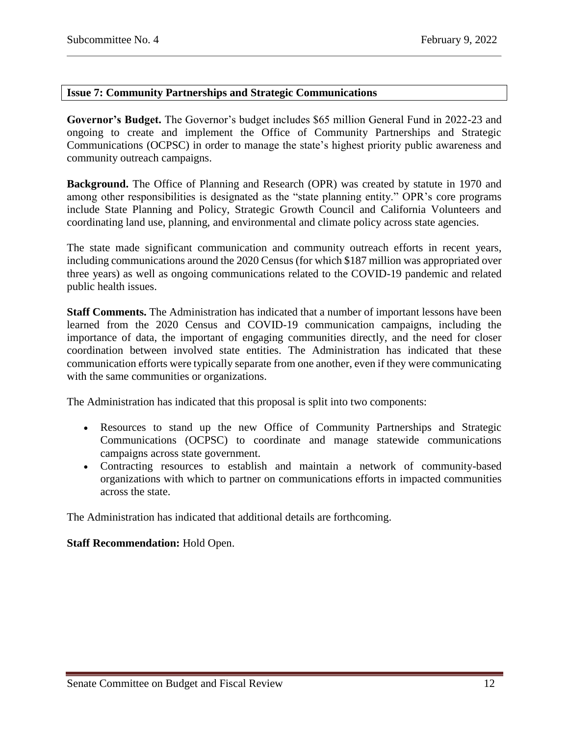# <span id="page-11-0"></span>**Issue 7: Community Partnerships and Strategic Communications**

**Governor's Budget.** The Governor's budget includes \$65 million General Fund in 2022-23 and ongoing to create and implement the Office of Community Partnerships and Strategic Communications (OCPSC) in order to manage the state's highest priority public awareness and community outreach campaigns.

**Background.** The Office of Planning and Research (OPR) was created by statute in 1970 and among other responsibilities is designated as the "state planning entity." OPR's core programs include State Planning and Policy, Strategic Growth Council and California Volunteers and coordinating land use, planning, and environmental and climate policy across state agencies.

The state made significant communication and community outreach efforts in recent years, including communications around the 2020 Census (for which \$187 million was appropriated over three years) as well as ongoing communications related to the COVID-19 pandemic and related public health issues.

**Staff Comments.** The Administration has indicated that a number of important lessons have been learned from the 2020 Census and COVID-19 communication campaigns, including the importance of data, the important of engaging communities directly, and the need for closer coordination between involved state entities. The Administration has indicated that these communication efforts were typically separate from one another, even if they were communicating with the same communities or organizations.

The Administration has indicated that this proposal is split into two components:

- Resources to stand up the new Office of Community Partnerships and Strategic Communications (OCPSC) to coordinate and manage statewide communications campaigns across state government.
- Contracting resources to establish and maintain a network of community-based organizations with which to partner on communications efforts in impacted communities across the state.

The Administration has indicated that additional details are forthcoming.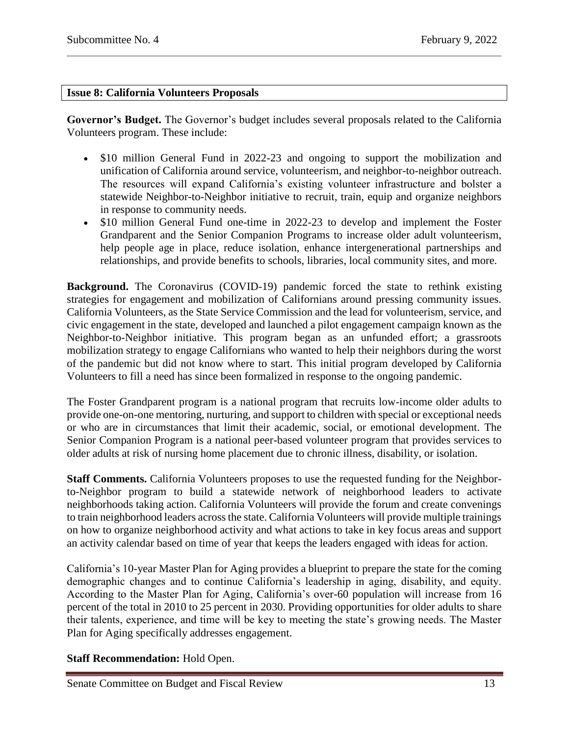## <span id="page-12-0"></span>**Issue 8: California Volunteers Proposals**

**Governor's Budget.** The Governor's budget includes several proposals related to the California Volunteers program. These include:

- \$10 million General Fund in 2022-23 and ongoing to support the mobilization and unification of California around service, volunteerism, and neighbor-to-neighbor outreach. The resources will expand California's existing volunteer infrastructure and bolster a statewide Neighbor-to-Neighbor initiative to recruit, train, equip and organize neighbors in response to community needs.
- \$10 million General Fund one-time in 2022-23 to develop and implement the Foster Grandparent and the Senior Companion Programs to increase older adult volunteerism, help people age in place, reduce isolation, enhance intergenerational partnerships and relationships, and provide benefits to schools, libraries, local community sites, and more.

**Background.** The Coronavirus (COVID-19) pandemic forced the state to rethink existing strategies for engagement and mobilization of Californians around pressing community issues. California Volunteers, as the State Service Commission and the lead for volunteerism, service, and civic engagement in the state, developed and launched a pilot engagement campaign known as the Neighbor-to-Neighbor initiative. This program began as an unfunded effort; a grassroots mobilization strategy to engage Californians who wanted to help their neighbors during the worst of the pandemic but did not know where to start. This initial program developed by California Volunteers to fill a need has since been formalized in response to the ongoing pandemic.

The Foster Grandparent program is a national program that recruits low-income older adults to provide one-on-one mentoring, nurturing, and support to children with special or exceptional needs or who are in circumstances that limit their academic, social, or emotional development. The Senior Companion Program is a national peer-based volunteer program that provides services to older adults at risk of nursing home placement due to chronic illness, disability, or isolation.

**Staff Comments.** California Volunteers proposes to use the requested funding for the Neighborto-Neighbor program to build a statewide network of neighborhood leaders to activate neighborhoods taking action. California Volunteers will provide the forum and create convenings to train neighborhood leaders across the state. California Volunteers will provide multiple trainings on how to organize neighborhood activity and what actions to take in key focus areas and support an activity calendar based on time of year that keeps the leaders engaged with ideas for action.

California's 10-year Master Plan for Aging provides a blueprint to prepare the state for the coming demographic changes and to continue California's leadership in aging, disability, and equity. According to the Master Plan for Aging, California's over-60 population will increase from 16 percent of the total in 2010 to 25 percent in 2030. Providing opportunities for older adults to share their talents, experience, and time will be key to meeting the state's growing needs. The Master Plan for Aging specifically addresses engagement.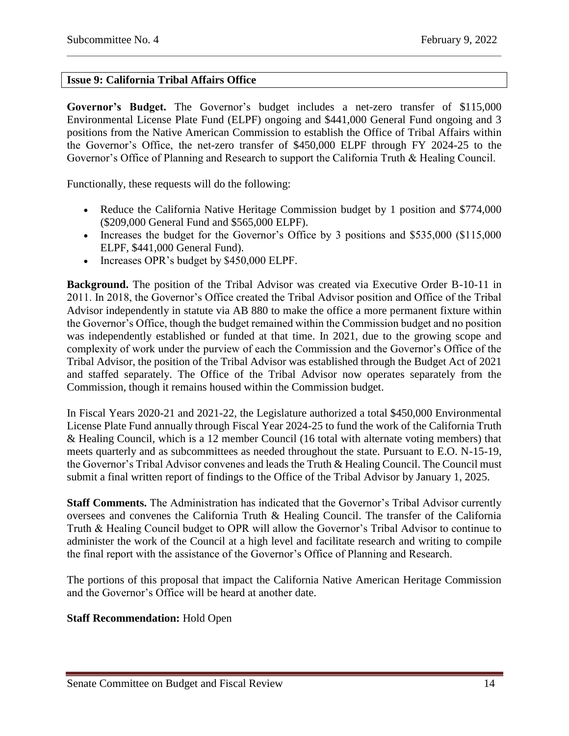# <span id="page-13-0"></span>**Issue 9: California Tribal Affairs Office**

**Governor's Budget.** The Governor's budget includes a net-zero transfer of \$115,000 Environmental License Plate Fund (ELPF) ongoing and \$441,000 General Fund ongoing and 3 positions from the Native American Commission to establish the Office of Tribal Affairs within the Governor's Office, the net-zero transfer of \$450,000 ELPF through FY 2024-25 to the Governor's Office of Planning and Research to support the California Truth & Healing Council.

Functionally, these requests will do the following:

- Reduce the California Native Heritage Commission budget by 1 position and \$774,000 (\$209,000 General Fund and \$565,000 ELPF).
- Increases the budget for the Governor's Office by 3 positions and \$535,000 (\$115,000) ELPF, \$441,000 General Fund).
- Increases OPR's budget by \$450,000 ELPF.

**Background.** The position of the Tribal Advisor was created via Executive Order B-10-11 in 2011. In 2018, the Governor's Office created the Tribal Advisor position and Office of the Tribal Advisor independently in statute via AB 880 to make the office a more permanent fixture within the Governor's Office, though the budget remained within the Commission budget and no position was independently established or funded at that time. In 2021, due to the growing scope and complexity of work under the purview of each the Commission and the Governor's Office of the Tribal Advisor, the position of the Tribal Advisor was established through the Budget Act of 2021 and staffed separately. The Office of the Tribal Advisor now operates separately from the Commission, though it remains housed within the Commission budget.

In Fiscal Years 2020-21 and 2021-22, the Legislature authorized a total \$450,000 Environmental License Plate Fund annually through Fiscal Year 2024-25 to fund the work of the California Truth & Healing Council, which is a 12 member Council (16 total with alternate voting members) that meets quarterly and as subcommittees as needed throughout the state. Pursuant to E.O. N-15-19, the Governor's Tribal Advisor convenes and leads the Truth & Healing Council. The Council must submit a final written report of findings to the Office of the Tribal Advisor by January 1, 2025.

**Staff Comments.** The Administration has indicated that the Governor's Tribal Advisor currently oversees and convenes the California Truth & Healing Council. The transfer of the California Truth & Healing Council budget to OPR will allow the Governor's Tribal Advisor to continue to administer the work of the Council at a high level and facilitate research and writing to compile the final report with the assistance of the Governor's Office of Planning and Research.

The portions of this proposal that impact the California Native American Heritage Commission and the Governor's Office will be heard at another date.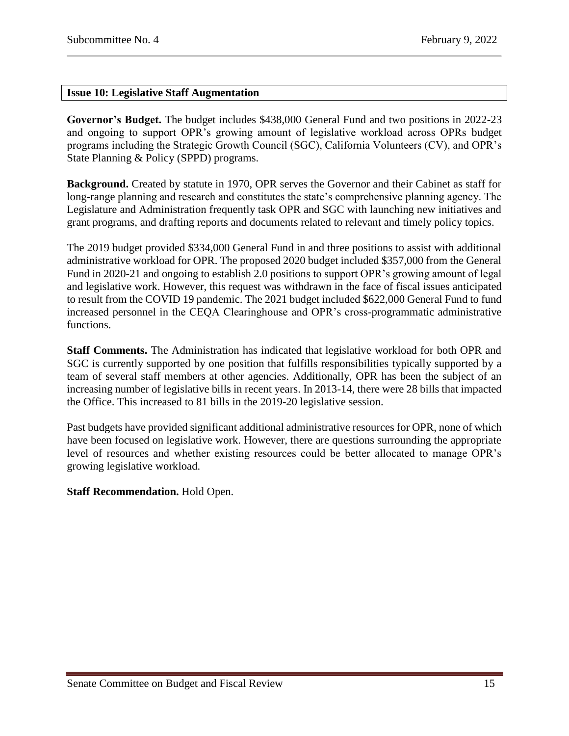## <span id="page-14-0"></span>**Issue 10: Legislative Staff Augmentation**

**Governor's Budget.** The budget includes \$438,000 General Fund and two positions in 2022-23 and ongoing to support OPR's growing amount of legislative workload across OPRs budget programs including the Strategic Growth Council (SGC), California Volunteers (CV), and OPR's State Planning & Policy (SPPD) programs.

**Background.** Created by statute in 1970, OPR serves the Governor and their Cabinet as staff for long-range planning and research and constitutes the state's comprehensive planning agency. The Legislature and Administration frequently task OPR and SGC with launching new initiatives and grant programs, and drafting reports and documents related to relevant and timely policy topics.

The 2019 budget provided \$334,000 General Fund in and three positions to assist with additional administrative workload for OPR. The proposed 2020 budget included \$357,000 from the General Fund in 2020-21 and ongoing to establish 2.0 positions to support OPR's growing amount of legal and legislative work. However, this request was withdrawn in the face of fiscal issues anticipated to result from the COVID 19 pandemic. The 2021 budget included \$622,000 General Fund to fund increased personnel in the CEQA Clearinghouse and OPR's cross-programmatic administrative functions.

**Staff Comments.** The Administration has indicated that legislative workload for both OPR and SGC is currently supported by one position that fulfills responsibilities typically supported by a team of several staff members at other agencies. Additionally, OPR has been the subject of an increasing number of legislative bills in recent years. In 2013-14, there were 28 bills that impacted the Office. This increased to 81 bills in the 2019-20 legislative session.

Past budgets have provided significant additional administrative resources for OPR, none of which have been focused on legislative work. However, there are questions surrounding the appropriate level of resources and whether existing resources could be better allocated to manage OPR's growing legislative workload.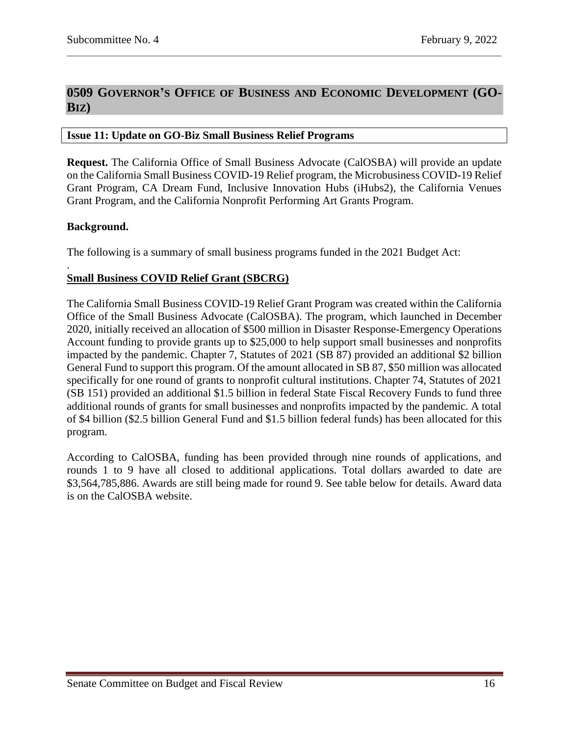# <span id="page-15-0"></span>**0509 GOVERNOR'S OFFICE OF BUSINESS AND ECONOMIC DEVELOPMENT (GO-BIZ)**

#### <span id="page-15-1"></span>**Issue 11: Update on GO-Biz Small Business Relief Programs**

**Request.** The California Office of Small Business Advocate (CalOSBA) will provide an update on the California Small Business COVID-19 Relief program, the Microbusiness COVID-19 Relief Grant Program, CA Dream Fund, Inclusive Innovation Hubs (iHubs2), the California Venues Grant Program, and the California Nonprofit Performing Art Grants Program.

#### **Background.**

.

The following is a summary of small business programs funded in the 2021 Budget Act:

# **Small Business COVID Relief Grant (SBCRG)**

The California Small Business COVID-19 Relief Grant Program was created within the California Office of the Small Business Advocate (CalOSBA). The program, which launched in December 2020, initially received an allocation of \$500 million in Disaster Response-Emergency Operations Account funding to provide grants up to \$25,000 to help support small businesses and nonprofits impacted by the pandemic. Chapter 7, Statutes of 2021 (SB 87) provided an additional \$2 billion General Fund to support this program. Of the amount allocated in SB 87, \$50 million was allocated specifically for one round of grants to nonprofit cultural institutions. Chapter 74, Statutes of 2021 (SB 151) provided an additional \$1.5 billion in federal State Fiscal Recovery Funds to fund three additional rounds of grants for small businesses and nonprofits impacted by the pandemic. A total of \$4 billion (\$2.5 billion General Fund and \$1.5 billion federal funds) has been allocated for this program.

According to CalOSBA, funding has been provided through nine rounds of applications, and rounds 1 to 9 have all closed to additional applications. Total dollars awarded to date are \$3,564,785,886. Awards are still being made for round 9. See table below for details. Award data is on the CalOSBA website.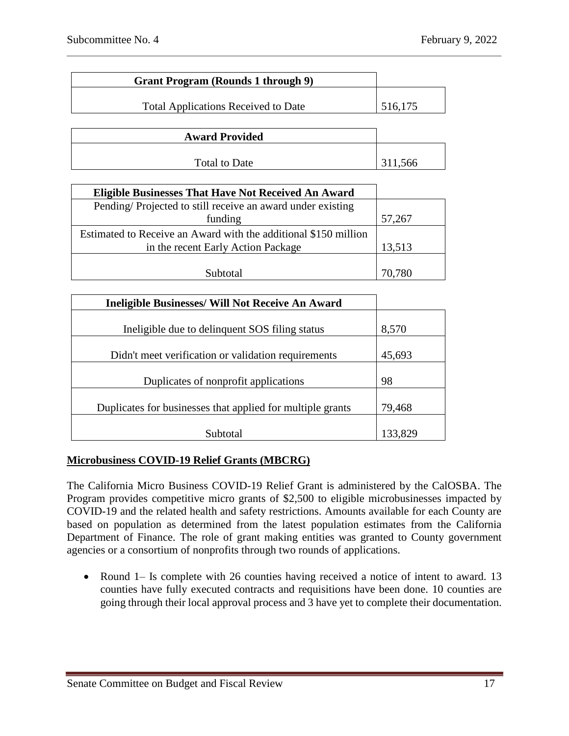| <b>Grant Program (Rounds 1 through 9)</b>  |         |
|--------------------------------------------|---------|
| <b>Total Applications Received to Date</b> | 516,175 |
| <b>Award Provided</b>                      |         |
|                                            |         |
| <b>Total to Date</b>                       | 311,566 |

| <b>Eligible Businesses That Have Not Received An Award</b>                                            |        |
|-------------------------------------------------------------------------------------------------------|--------|
| Pending/Projected to still receive an award under existing                                            |        |
| funding                                                                                               | 57,267 |
| Estimated to Receive an Award with the additional \$150 million<br>in the recent Early Action Package | 13,513 |
| Subtotal                                                                                              | 70,780 |

| <b>Ineligible Businesses/ Will Not Receive An Award</b>    |         |
|------------------------------------------------------------|---------|
|                                                            |         |
| Ineligible due to delinquent SOS filing status             | 8,570   |
|                                                            |         |
| Didn't meet verification or validation requirements        | 45,693  |
|                                                            |         |
| Duplicates of nonprofit applications                       | 98      |
|                                                            |         |
| Duplicates for businesses that applied for multiple grants | 79,468  |
|                                                            |         |
| Subtotal                                                   | 133,829 |

# **Microbusiness COVID-19 Relief Grants (MBCRG)**

The California Micro Business COVID-19 Relief Grant is administered by the CalOSBA. The Program provides competitive micro grants of \$2,500 to eligible microbusinesses impacted by COVID-19 and the related health and safety restrictions. Amounts available for each County are based on population as determined from the latest population estimates from the California Department of Finance. The role of grant making entities was granted to County government agencies or a consortium of nonprofits through two rounds of applications.

• Round 1– Is complete with 26 counties having received a notice of intent to award. 13 counties have fully executed contracts and requisitions have been done. 10 counties are going through their local approval process and 3 have yet to complete their documentation.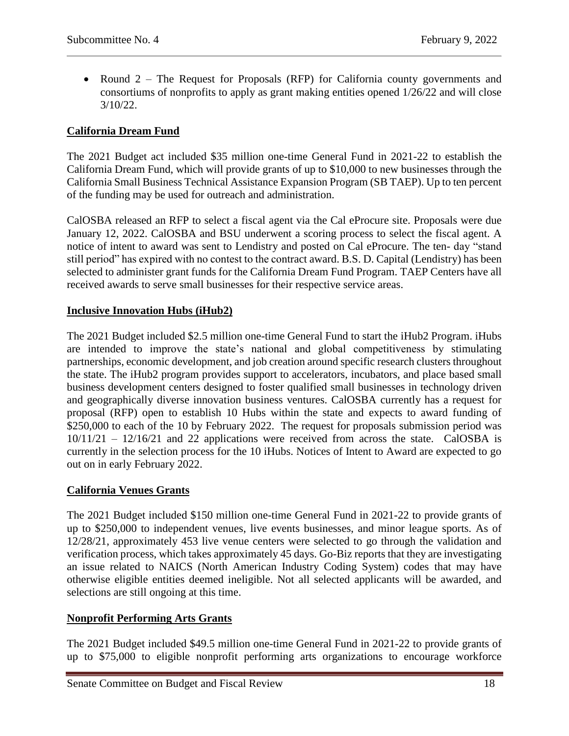• Round 2 – The Request for Proposals (RFP) for California county governments and consortiums of nonprofits to apply as grant making entities opened 1/26/22 and will close 3/10/22.

# **California Dream Fund**

The 2021 Budget act included \$35 million one-time General Fund in 2021-22 to establish the California Dream Fund, which will provide grants of up to \$10,000 to new businesses through the California Small Business Technical Assistance Expansion Program (SB TAEP). Up to ten percent of the funding may be used for outreach and administration.

CalOSBA released an RFP to select a fiscal agent via the Cal eProcure site. Proposals were due January 12, 2022. CalOSBA and BSU underwent a scoring process to select the fiscal agent. A notice of intent to award was sent to Lendistry and posted on Cal eProcure. The ten- day "stand still period" has expired with no contest to the contract award. B.S. D. Capital (Lendistry) has been selected to administer grant funds for the California Dream Fund Program. TAEP Centers have all received awards to serve small businesses for their respective service areas.

# **Inclusive Innovation Hubs (iHub2)**

The 2021 Budget included \$2.5 million one-time General Fund to start the iHub2 Program. iHubs are intended to improve the state's national and global competitiveness by stimulating partnerships, economic development, and job creation around specific research clusters throughout the state. The iHub2 program provides support to accelerators, incubators, and place based small business development centers designed to foster qualified small businesses in technology driven and geographically diverse innovation business ventures. CalOSBA currently has a request for proposal (RFP) open to establish 10 Hubs within the state and expects to award funding of \$250,000 to each of the 10 by February 2022. The request for proposals submission period was 10/11/21 – 12/16/21 and 22 applications were received from across the state. CalOSBA is currently in the selection process for the 10 iHubs. Notices of Intent to Award are expected to go out on in early February 2022.

# **California Venues Grants**

The 2021 Budget included \$150 million one-time General Fund in 2021-22 to provide grants of up to \$250,000 to independent venues, live events businesses, and minor league sports. As of 12/28/21, approximately 453 live venue centers were selected to go through the validation and verification process, which takes approximately 45 days. Go-Biz reports that they are investigating an issue related to NAICS (North American Industry Coding System) codes that may have otherwise eligible entities deemed ineligible. Not all selected applicants will be awarded, and selections are still ongoing at this time.

# **Nonprofit Performing Arts Grants**

The 2021 Budget included \$49.5 million one-time General Fund in 2021-22 to provide grants of up to \$75,000 to eligible nonprofit performing arts organizations to encourage workforce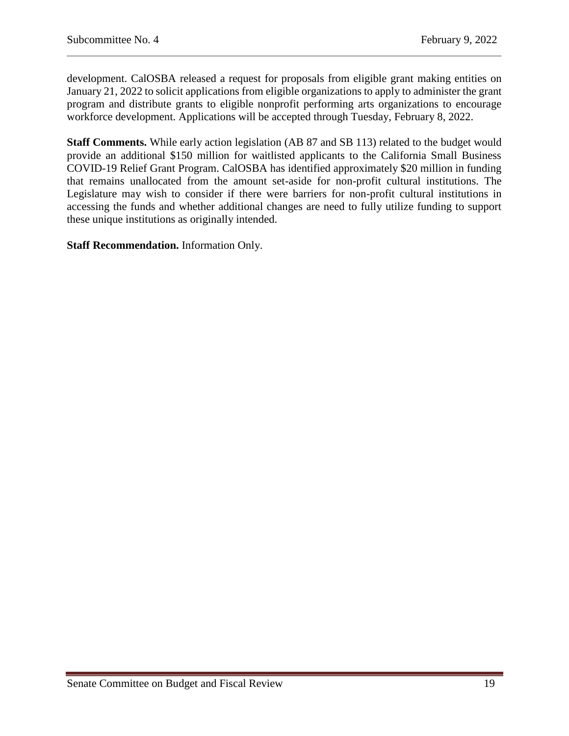development. CalOSBA released a request for proposals from eligible grant making entities on January 21, 2022 to solicit applications from eligible organizations to apply to administer the grant program and distribute grants to eligible nonprofit performing arts organizations to encourage workforce development. Applications will be accepted through Tuesday, February 8, 2022.

**Staff Comments.** While early action legislation (AB 87 and SB 113) related to the budget would provide an additional \$150 million for waitlisted applicants to the California Small Business COVID-19 Relief Grant Program. CalOSBA has identified approximately \$20 million in funding that remains unallocated from the amount set-aside for non-profit cultural institutions. The Legislature may wish to consider if there were barriers for non-profit cultural institutions in accessing the funds and whether additional changes are need to fully utilize funding to support these unique institutions as originally intended.

**Staff Recommendation.** Information Only.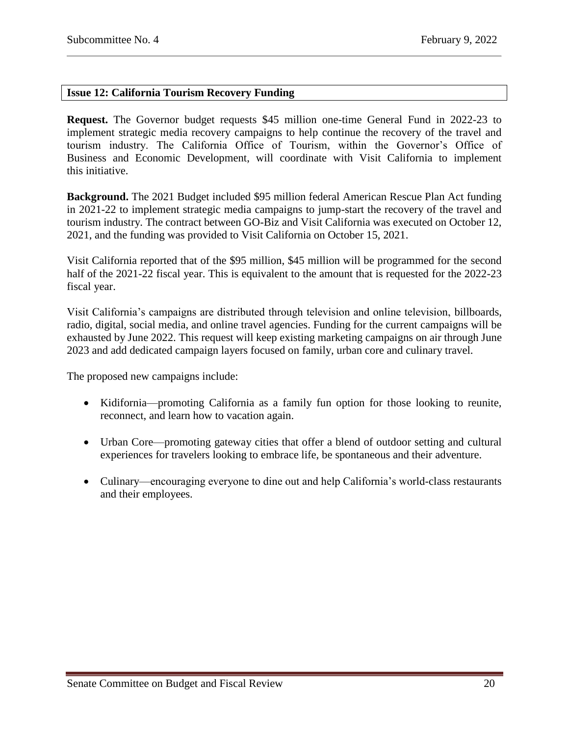## <span id="page-19-0"></span>**Issue 12: California Tourism Recovery Funding**

**Request.** The Governor budget requests \$45 million one-time General Fund in 2022-23 to implement strategic media recovery campaigns to help continue the recovery of the travel and tourism industry. The California Office of Tourism, within the Governor's Office of Business and Economic Development, will coordinate with Visit California to implement this initiative.

**Background.** The 2021 Budget included \$95 million federal American Rescue Plan Act funding in 2021-22 to implement strategic media campaigns to jump-start the recovery of the travel and tourism industry. The contract between GO-Biz and Visit California was executed on October 12, 2021, and the funding was provided to Visit California on October 15, 2021.

Visit California reported that of the \$95 million, \$45 million will be programmed for the second half of the 2021-22 fiscal year. This is equivalent to the amount that is requested for the 2022-23 fiscal year.

Visit California's campaigns are distributed through television and online television, billboards, radio, digital, social media, and online travel agencies. Funding for the current campaigns will be exhausted by June 2022. This request will keep existing marketing campaigns on air through June 2023 and add dedicated campaign layers focused on family, urban core and culinary travel.

The proposed new campaigns include:

- Kidifornia—promoting California as a family fun option for those looking to reunite, reconnect, and learn how to vacation again.
- Urban Core—promoting gateway cities that offer a blend of outdoor setting and cultural experiences for travelers looking to embrace life, be spontaneous and their adventure.
- Culinary—encouraging everyone to dine out and help California's world-class restaurants and their employees.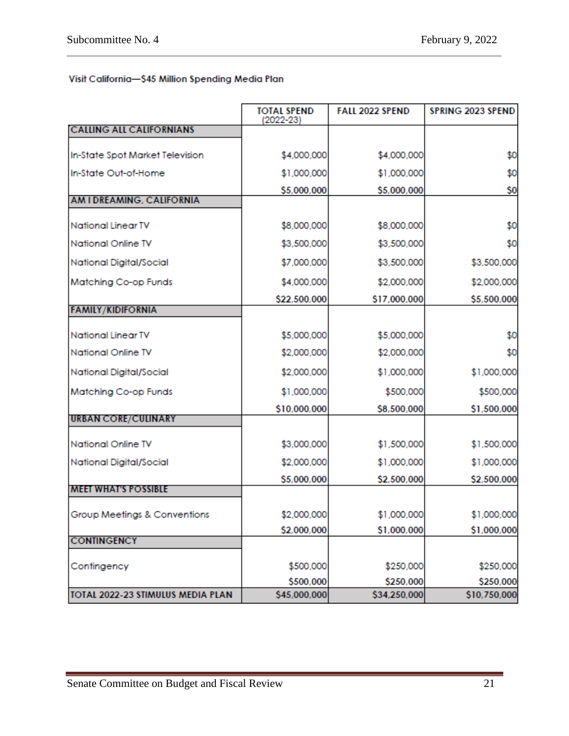# Visit California-\$45 Million Spending Media Plan

|                                   | <b>TOTAL SPEND</b><br>$(2022 - 23)$ | <b>FALL 2022 SPEND</b> | <b>SPRING 2023 SPEND</b> |
|-----------------------------------|-------------------------------------|------------------------|--------------------------|
| <b>CALLING ALL CALIFORNIANS</b>   |                                     |                        |                          |
| In-State Spot Market Television   | \$4,000,000                         | \$4,000,000            | \$0                      |
| In-State Out-of-Home              | \$1,000,000                         | \$1,000,000            | \$0                      |
|                                   | \$5,000,000                         | \$5,000,000            | \$0                      |
| AM I DREAMING, CALIFORNIA         |                                     |                        |                          |
| <b>National Linear TV</b>         | \$8,000,000                         | \$8,000,000            | \$0                      |
| <b>National Online TV</b>         | \$3,500,000                         | \$3,500,000            | \$0                      |
| National Digital/Social           | \$7,000,000                         | \$3,500,000            | \$3,500,000              |
| Matching Co-op Funds              | \$4,000,000                         | \$2,000,000            | \$2,000,000              |
|                                   | \$22,500,000                        | \$17,000,000           | \$5,500,000              |
| <b>FAMILY/KIDIFORNIA</b>          |                                     |                        |                          |
| <b>National Linear TV</b>         | \$5,000,000                         | \$5,000,000            | \$0                      |
| <b>National Online TV</b>         | \$2,000,000                         | \$2,000,000            | \$0                      |
| National Digital/Social           | \$2,000,000                         | \$1,000,000            | \$1,000,000              |
| Matching Co-op Funds              | \$1,000,000                         | \$500,000              | \$500,000                |
|                                   | \$10,000,000                        | \$8,500,000            | \$1,500,000              |
| <b>URBAN CORE/CULINARY</b>        |                                     |                        |                          |
| <b>National Online TV</b>         | \$3,000,000                         | \$1,500,000            | \$1,500,000              |
| National Digital/Social           | \$2,000,000                         | \$1,000,000            | \$1,000,000              |
|                                   | \$5,000,000                         | \$2,500,000            | \$2,500,000              |
| <b>MEET WHAT'S POSSIBLE</b>       |                                     |                        |                          |
| Group Meetings & Conventions      | \$2,000,000                         | \$1,000,000            | \$1,000,000              |
|                                   | \$2,000,000                         | \$1,000,000            | \$1,000,000              |
| <b>CONTINGENCY</b>                |                                     |                        |                          |
| Contingency                       | \$500,000                           | \$250,000              | \$250,000                |
|                                   | \$500,000                           | \$250,000              | \$250,000                |
| TOTAL 2022-23 STIMULUS MEDIA PLAN | \$45,000,000                        | \$34,250,000           | \$10,750,000             |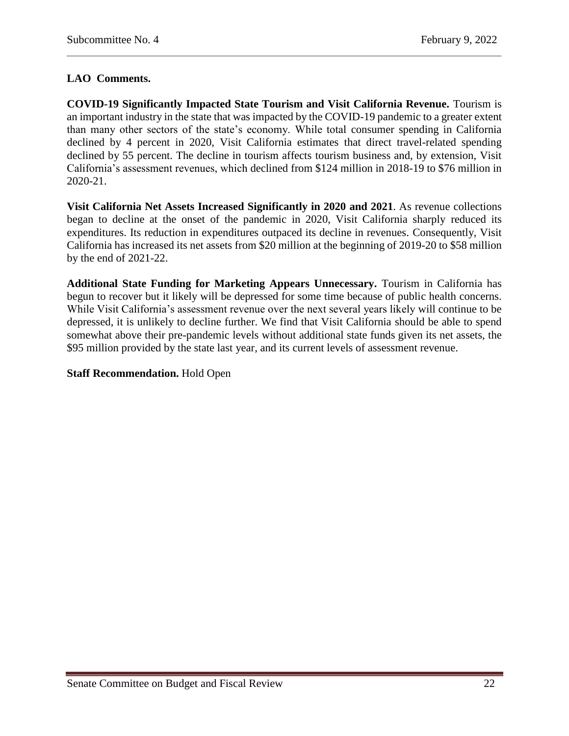# **LAO Comments.**

**COVID-19 Significantly Impacted State Tourism and Visit California Revenue.** Tourism is an important industry in the state that was impacted by the COVID-19 pandemic to a greater extent than many other sectors of the state's economy. While total consumer spending in California declined by 4 percent in 2020, Visit California estimates that direct travel-related spending declined by 55 percent. The decline in tourism affects tourism business and, by extension, Visit California's assessment revenues, which declined from \$124 million in 2018-19 to \$76 million in 2020-21.

**Visit California Net Assets Increased Significantly in 2020 and 2021**. As revenue collections began to decline at the onset of the pandemic in 2020, Visit California sharply reduced its expenditures. Its reduction in expenditures outpaced its decline in revenues. Consequently, Visit California has increased its net assets from \$20 million at the beginning of 2019-20 to \$58 million by the end of 2021-22.

**Additional State Funding for Marketing Appears Unnecessary.** Tourism in California has begun to recover but it likely will be depressed for some time because of public health concerns. While Visit California's assessment revenue over the next several years likely will continue to be depressed, it is unlikely to decline further. We find that Visit California should be able to spend somewhat above their pre-pandemic levels without additional state funds given its net assets, the \$95 million provided by the state last year, and its current levels of assessment revenue.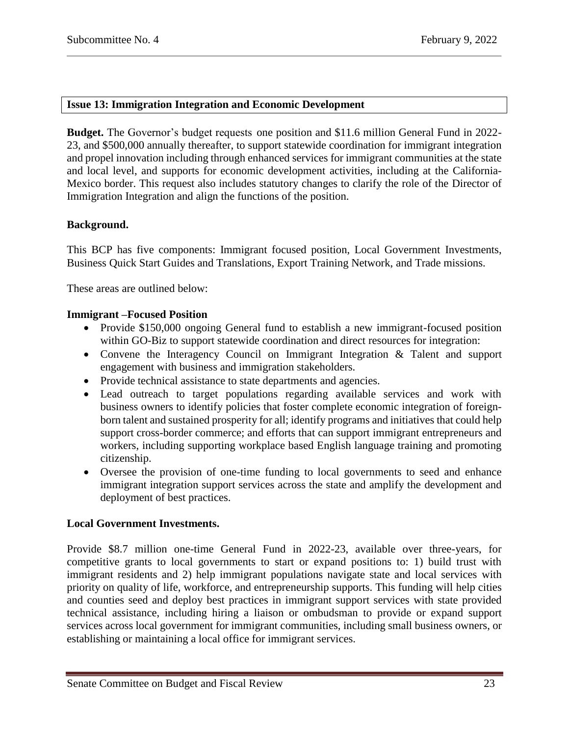## <span id="page-22-0"></span>**Issue 13: Immigration Integration and Economic Development**

**Budget.** The Governor's budget requests one position and \$11.6 million General Fund in 2022- 23, and \$500,000 annually thereafter, to support statewide coordination for immigrant integration and propel innovation including through enhanced services for immigrant communities at the state and local level, and supports for economic development activities, including at the California-Mexico border. This request also includes statutory changes to clarify the role of the Director of Immigration Integration and align the functions of the position.

#### **Background.**

This BCP has five components: Immigrant focused position, Local Government Investments, Business Quick Start Guides and Translations, Export Training Network, and Trade missions.

These areas are outlined below:

#### **Immigrant –Focused Position**

- Provide \$150,000 ongoing General fund to establish a new immigrant-focused position within GO-Biz to support statewide coordination and direct resources for integration:
- Convene the Interagency Council on Immigrant Integration & Talent and support engagement with business and immigration stakeholders.
- Provide technical assistance to state departments and agencies.
- Lead outreach to target populations regarding available services and work with business owners to identify policies that foster complete economic integration of foreignborn talent and sustained prosperity for all; identify programs and initiatives that could help support cross-border commerce; and efforts that can support immigrant entrepreneurs and workers, including supporting workplace based English language training and promoting citizenship.
- Oversee the provision of one-time funding to local governments to seed and enhance immigrant integration support services across the state and amplify the development and deployment of best practices.

# **Local Government Investments.**

Provide \$8.7 million one-time General Fund in 2022-23, available over three-years, for competitive grants to local governments to start or expand positions to: 1) build trust with immigrant residents and 2) help immigrant populations navigate state and local services with priority on quality of life, workforce, and entrepreneurship supports. This funding will help cities and counties seed and deploy best practices in immigrant support services with state provided technical assistance, including hiring a liaison or ombudsman to provide or expand support services across local government for immigrant communities, including small business owners, or establishing or maintaining a local office for immigrant services.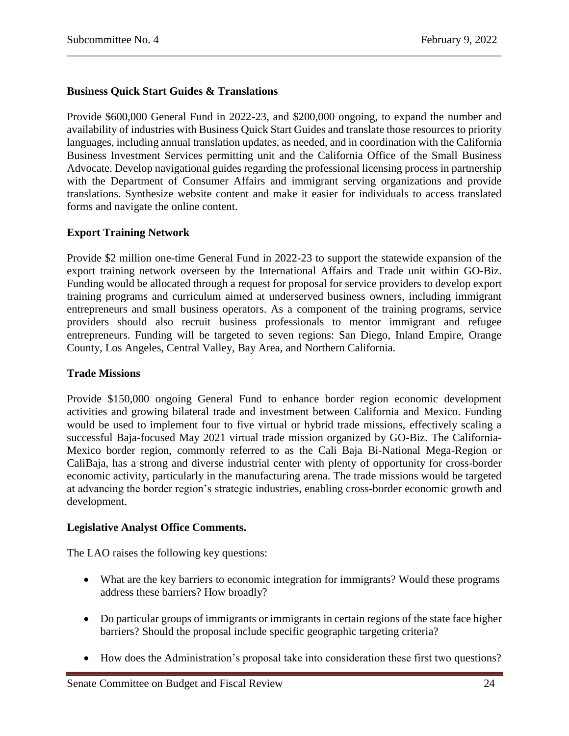# **Business Quick Start Guides & Translations**

Provide \$600,000 General Fund in 2022-23, and \$200,000 ongoing, to expand the number and availability of industries with Business Quick Start Guides and translate those resources to priority languages, including annual translation updates, as needed, and in coordination with the California Business Investment Services permitting unit and the California Office of the Small Business Advocate. Develop navigational guides regarding the professional licensing process in partnership with the Department of Consumer Affairs and immigrant serving organizations and provide translations. Synthesize website content and make it easier for individuals to access translated forms and navigate the online content.

# **Export Training Network**

Provide \$2 million one-time General Fund in 2022-23 to support the statewide expansion of the export training network overseen by the International Affairs and Trade unit within GO-Biz. Funding would be allocated through a request for proposal for service providers to develop export training programs and curriculum aimed at underserved business owners, including immigrant entrepreneurs and small business operators. As a component of the training programs, service providers should also recruit business professionals to mentor immigrant and refugee entrepreneurs. Funding will be targeted to seven regions: San Diego, Inland Empire, Orange County, Los Angeles, Central Valley, Bay Area, and Northern California.

## **Trade Missions**

Provide \$150,000 ongoing General Fund to enhance border region economic development activities and growing bilateral trade and investment between California and Mexico. Funding would be used to implement four to five virtual or hybrid trade missions, effectively scaling a successful Baja-focused May 2021 virtual trade mission organized by GO-Biz. The California-Mexico border region, commonly referred to as the Cali Baja Bi-National Mega-Region or CaliBaja, has a strong and diverse industrial center with plenty of opportunity for cross-border economic activity, particularly in the manufacturing arena. The trade missions would be targeted at advancing the border region's strategic industries, enabling cross-border economic growth and development.

#### **Legislative Analyst Office Comments.**

The LAO raises the following key questions:

- What are the key barriers to economic integration for immigrants? Would these programs address these barriers? How broadly?
- Do particular groups of immigrants or immigrants in certain regions of the state face higher barriers? Should the proposal include specific geographic targeting criteria?
- How does the Administration's proposal take into consideration these first two questions?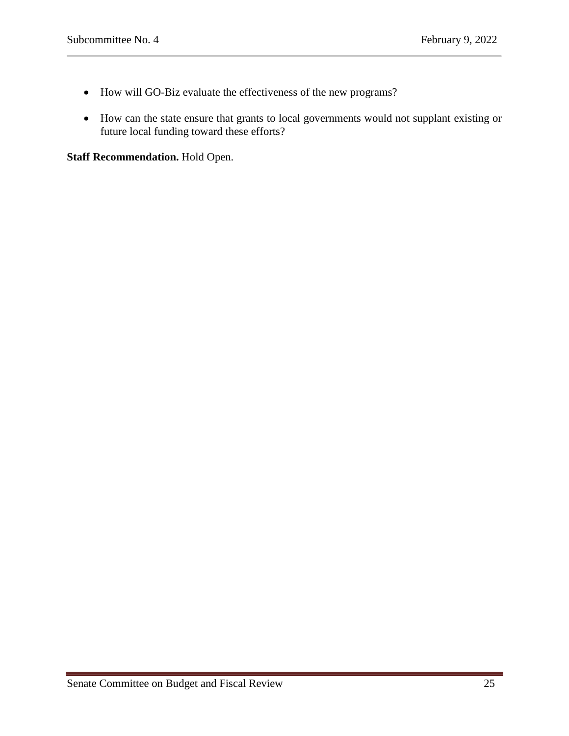- How will GO-Biz evaluate the effectiveness of the new programs?
- How can the state ensure that grants to local governments would not supplant existing or future local funding toward these efforts?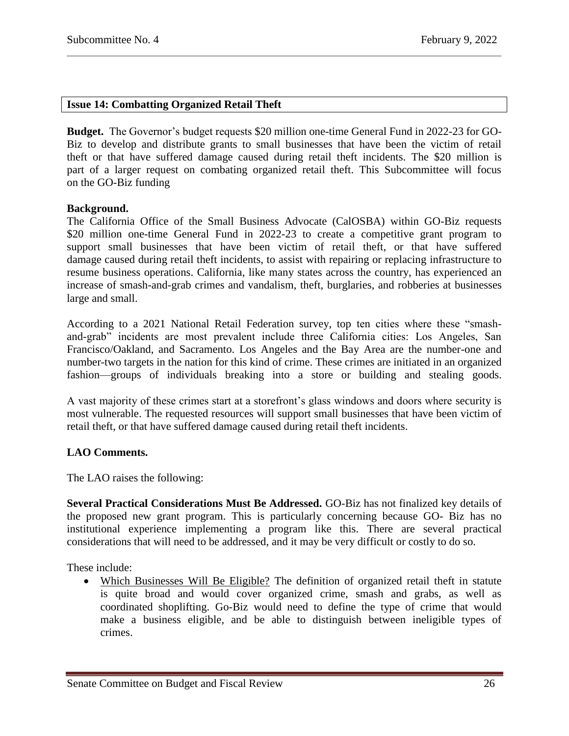## <span id="page-25-0"></span>**Issue 14: Combatting Organized Retail Theft**

**Budget.** The Governor's budget requests \$20 million one-time General Fund in 2022-23 for GO-Biz to develop and distribute grants to small businesses that have been the victim of retail theft or that have suffered damage caused during retail theft incidents. The \$20 million is part of a larger request on combating organized retail theft. This Subcommittee will focus on the GO-Biz funding

#### **Background.**

The California Office of the Small Business Advocate (CalOSBA) within GO-Biz requests \$20 million one-time General Fund in 2022-23 to create a competitive grant program to support small businesses that have been victim of retail theft, or that have suffered damage caused during retail theft incidents, to assist with repairing or replacing infrastructure to resume business operations. California, like many states across the country, has experienced an increase of smash-and-grab crimes and vandalism, theft, burglaries, and robberies at businesses large and small.

According to a 2021 National Retail Federation survey, top ten cities where these "smashand-grab" incidents are most prevalent include three California cities: Los Angeles, San Francisco/Oakland, and Sacramento. Los Angeles and the Bay Area are the number-one and number-two targets in the nation for this kind of crime. These crimes are initiated in an organized fashion—groups of individuals breaking into a store or building and stealing goods.

A vast majority of these crimes start at a storefront's glass windows and doors where security is most vulnerable. The requested resources will support small businesses that have been victim of retail theft, or that have suffered damage caused during retail theft incidents.

# **LAO Comments.**

The LAO raises the following:

**Several Practical Considerations Must Be Addressed.** GO-Biz has not finalized key details of the proposed new grant program. This is particularly concerning because GO- Biz has no institutional experience implementing a program like this. There are several practical considerations that will need to be addressed, and it may be very difficult or costly to do so.

These include:

 Which Businesses Will Be Eligible? The definition of organized retail theft in statute is quite broad and would cover organized crime, smash and grabs, as well as coordinated shoplifting. Go-Biz would need to define the type of crime that would make a business eligible, and be able to distinguish between ineligible types of crimes.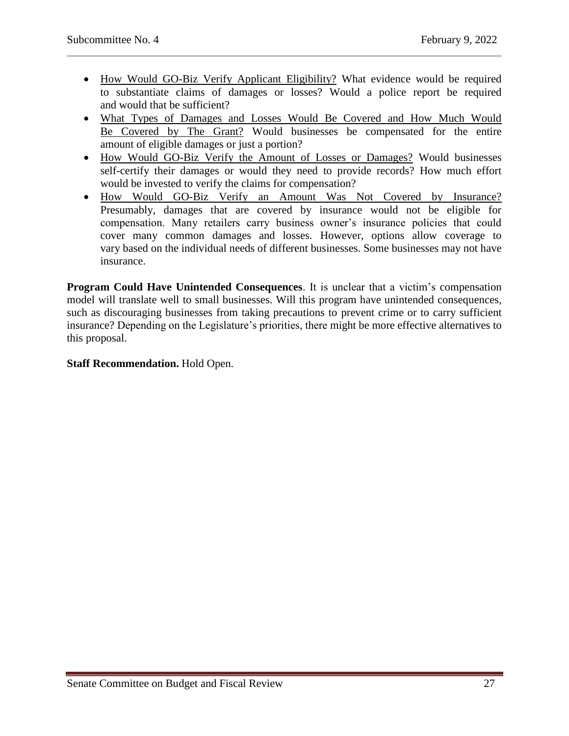- How Would GO-Biz Verify Applicant Eligibility? What evidence would be required to substantiate claims of damages or losses? Would a police report be required and would that be sufficient?
- What Types of Damages and Losses Would Be Covered and How Much Would Be Covered by The Grant? Would businesses be compensated for the entire amount of eligible damages or just a portion?
- How Would GO-Biz Verify the Amount of Losses or Damages? Would businesses self-certify their damages or would they need to provide records? How much effort would be invested to verify the claims for compensation?
- How Would GO-Biz Verify an Amount Was Not Covered by Insurance? Presumably, damages that are covered by insurance would not be eligible for compensation. Many retailers carry business owner's insurance policies that could cover many common damages and losses. However, options allow coverage to vary based on the individual needs of different businesses. Some businesses may not have insurance.

**Program Could Have Unintended Consequences**. It is unclear that a victim's compensation model will translate well to small businesses. Will this program have unintended consequences, such as discouraging businesses from taking precautions to prevent crime or to carry sufficient insurance? Depending on the Legislature's priorities, there might be more effective alternatives to this proposal.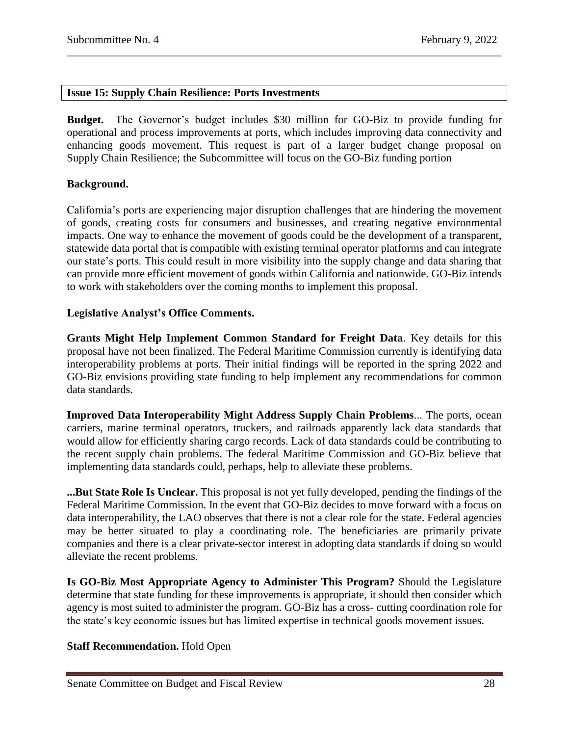# <span id="page-27-0"></span>**Issue 15: Supply Chain Resilience: Ports Investments**

**Budget.** The Governor's budget includes \$30 million for GO-Biz to provide funding for operational and process improvements at ports, which includes improving data connectivity and enhancing goods movement. This request is part of a larger budget change proposal on Supply Chain Resilience; the Subcommittee will focus on the GO-Biz funding portion

#### **Background.**

California's ports are experiencing major disruption challenges that are hindering the movement of goods, creating costs for consumers and businesses, and creating negative environmental impacts. One way to enhance the movement of goods could be the development of a transparent, statewide data portal that is compatible with existing terminal operator platforms and can integrate our state's ports. This could result in more visibility into the supply change and data sharing that can provide more efficient movement of goods within California and nationwide. GO-Biz intends to work with stakeholders over the coming months to implement this proposal.

### **Legislative Analyst's Office Comments.**

**Grants Might Help Implement Common Standard for Freight Data**. Key details for this proposal have not been finalized. The Federal Maritime Commission currently is identifying data interoperability problems at ports. Their initial findings will be reported in the spring 2022 and GO-Biz envisions providing state funding to help implement any recommendations for common data standards.

**Improved Data Interoperability Might Address Supply Chain Problems**... The ports, ocean carriers, marine terminal operators, truckers, and railroads apparently lack data standards that would allow for efficiently sharing cargo records. Lack of data standards could be contributing to the recent supply chain problems. The federal Maritime Commission and GO-Biz believe that implementing data standards could, perhaps, help to alleviate these problems.

**...But State Role Is Unclear.** This proposal is not yet fully developed, pending the findings of the Federal Maritime Commission. In the event that GO-Biz decides to move forward with a focus on data interoperability, the LAO observes that there is not a clear role for the state. Federal agencies may be better situated to play a coordinating role. The beneficiaries are primarily private companies and there is a clear private-sector interest in adopting data standards if doing so would alleviate the recent problems.

**Is GO-Biz Most Appropriate Agency to Administer This Program?** Should the Legislature determine that state funding for these improvements is appropriate, it should then consider which agency is most suited to administer the program. GO-Biz has a cross- cutting coordination role for the state's key economic issues but has limited expertise in technical goods movement issues.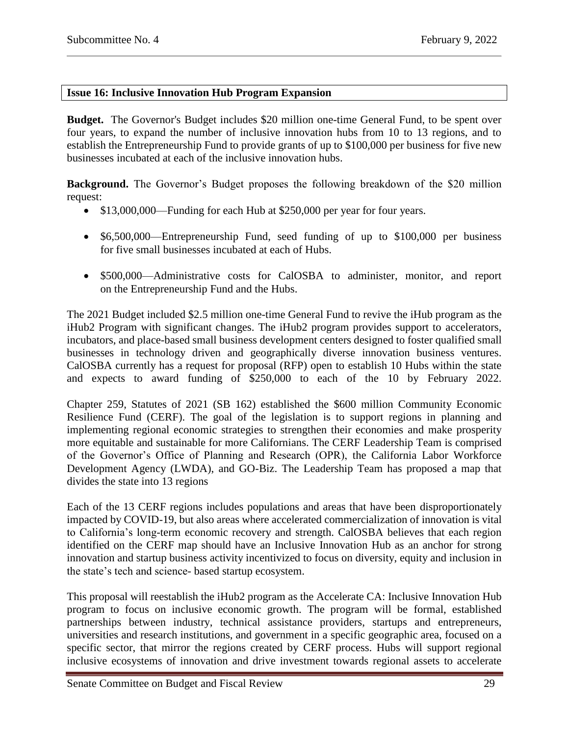# <span id="page-28-0"></span>**Issue 16: Inclusive Innovation Hub Program Expansion**

**Budget.** The Governor's Budget includes \$20 million one-time General Fund, to be spent over four years, to expand the number of inclusive innovation hubs from 10 to 13 regions, and to establish the Entrepreneurship Fund to provide grants of up to \$100,000 per business for five new businesses incubated at each of the inclusive innovation hubs.

**Background.** The Governor's Budget proposes the following breakdown of the \$20 million request:

- \$13,000,000—Funding for each Hub at \$250,000 per year for four years.
- \$6,500,000—Entrepreneurship Fund, seed funding of up to \$100,000 per business for five small businesses incubated at each of Hubs.
- \$500,000—Administrative costs for CalOSBA to administer, monitor, and report on the Entrepreneurship Fund and the Hubs.

The 2021 Budget included \$2.5 million one-time General Fund to revive the iHub program as the iHub2 Program with significant changes. The iHub2 program provides support to accelerators, incubators, and place-based small business development centers designed to foster qualified small businesses in technology driven and geographically diverse innovation business ventures. CalOSBA currently has a request for proposal (RFP) open to establish 10 Hubs within the state and expects to award funding of \$250,000 to each of the 10 by February 2022.

Chapter 259, Statutes of 2021 (SB 162) established the \$600 million Community Economic Resilience Fund (CERF). The goal of the legislation is to support regions in planning and implementing regional economic strategies to strengthen their economies and make prosperity more equitable and sustainable for more Californians. The CERF Leadership Team is comprised of the Governor's Office of Planning and Research (OPR), the California Labor Workforce Development Agency (LWDA), and GO-Biz. The Leadership Team has proposed a map that divides the state into 13 regions

Each of the 13 CERF regions includes populations and areas that have been disproportionately impacted by COVID-19, but also areas where accelerated commercialization of innovation is vital to California's long-term economic recovery and strength. CalOSBA believes that each region identified on the CERF map should have an Inclusive Innovation Hub as an anchor for strong innovation and startup business activity incentivized to focus on diversity, equity and inclusion in the state's tech and science- based startup ecosystem.

This proposal will reestablish the iHub2 program as the Accelerate CA: Inclusive Innovation Hub program to focus on inclusive economic growth. The program will be formal, established partnerships between industry, technical assistance providers, startups and entrepreneurs, universities and research institutions, and government in a specific geographic area, focused on a specific sector, that mirror the regions created by CERF process. Hubs will support regional inclusive ecosystems of innovation and drive investment towards regional assets to accelerate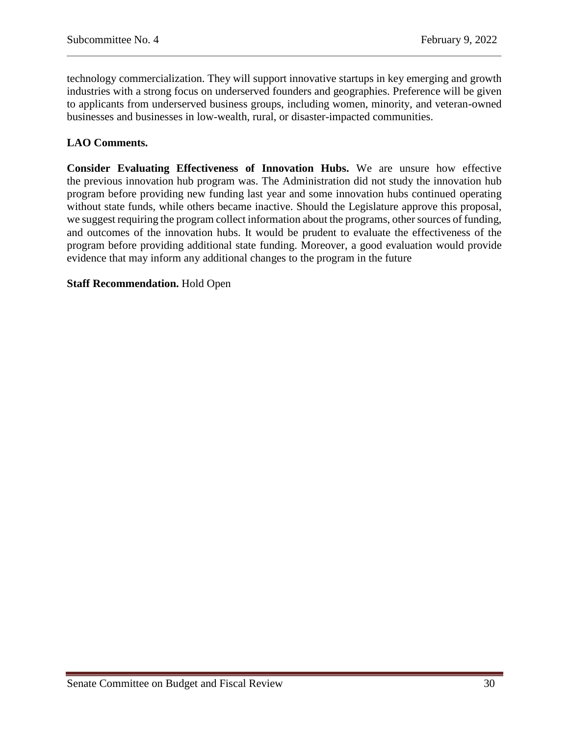technology commercialization. They will support innovative startups in key emerging and growth industries with a strong focus on underserved founders and geographies. Preference will be given to applicants from underserved business groups, including women, minority, and veteran-owned businesses and businesses in low-wealth, rural, or disaster-impacted communities.

# **LAO Comments.**

**Consider Evaluating Effectiveness of Innovation Hubs.** We are unsure how effective the previous innovation hub program was. The Administration did not study the innovation hub program before providing new funding last year and some innovation hubs continued operating without state funds, while others became inactive. Should the Legislature approve this proposal, we suggest requiring the program collect information about the programs, other sources of funding, and outcomes of the innovation hubs. It would be prudent to evaluate the effectiveness of the program before providing additional state funding. Moreover, a good evaluation would provide evidence that may inform any additional changes to the program in the future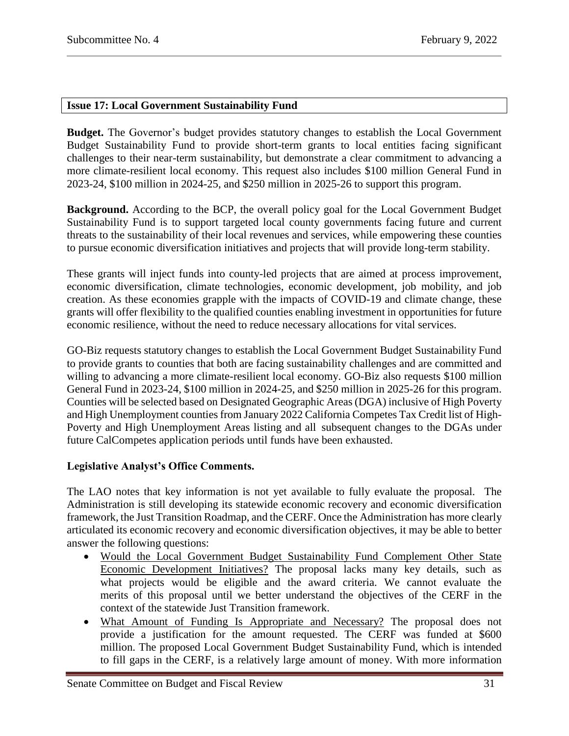## <span id="page-30-0"></span>**Issue 17: Local Government Sustainability Fund**

**Budget.** The Governor's budget provides statutory changes to establish the Local Government Budget Sustainability Fund to provide short-term grants to local entities facing significant challenges to their near-term sustainability, but demonstrate a clear commitment to advancing a more climate-resilient local economy. This request also includes \$100 million General Fund in 2023-24, \$100 million in 2024-25, and \$250 million in 2025-26 to support this program.

**Background.** According to the BCP, the overall policy goal for the Local Government Budget Sustainability Fund is to support targeted local county governments facing future and current threats to the sustainability of their local revenues and services, while empowering these counties to pursue economic diversification initiatives and projects that will provide long-term stability.

These grants will inject funds into county-led projects that are aimed at process improvement, economic diversification, climate technologies, economic development, job mobility, and job creation. As these economies grapple with the impacts of COVID-19 and climate change, these grants will offer flexibility to the qualified counties enabling investment in opportunities for future economic resilience, without the need to reduce necessary allocations for vital services.

GO-Biz requests statutory changes to establish the Local Government Budget Sustainability Fund to provide grants to counties that both are facing sustainability challenges and are committed and willing to advancing a more climate-resilient local economy. GO-Biz also requests \$100 million General Fund in 2023-24, \$100 million in 2024-25, and \$250 million in 2025-26 for this program. Counties will be selected based on Designated Geographic Areas (DGA) inclusive of High Poverty and High Unemployment counties from January 2022 California Competes Tax Credit list of High-Poverty and High Unemployment Areas listing and all subsequent changes to the DGAs under future CalCompetes application periods until funds have been exhausted.

# **Legislative Analyst's Office Comments.**

The LAO notes that key information is not yet available to fully evaluate the proposal. The Administration is still developing its statewide economic recovery and economic diversification framework, the Just Transition Roadmap, and the CERF. Once the Administration has more clearly articulated its economic recovery and economic diversification objectives, it may be able to better answer the following questions:

- Would the Local Government Budget Sustainability Fund Complement Other State Economic Development Initiatives? The proposal lacks many key details, such as what projects would be eligible and the award criteria. We cannot evaluate the merits of this proposal until we better understand the objectives of the CERF in the context of the statewide Just Transition framework.
- What Amount of Funding Is Appropriate and Necessary? The proposal does not provide a justification for the amount requested. The CERF was funded at \$600 million. The proposed Local Government Budget Sustainability Fund, which is intended to fill gaps in the CERF, is a relatively large amount of money. With more information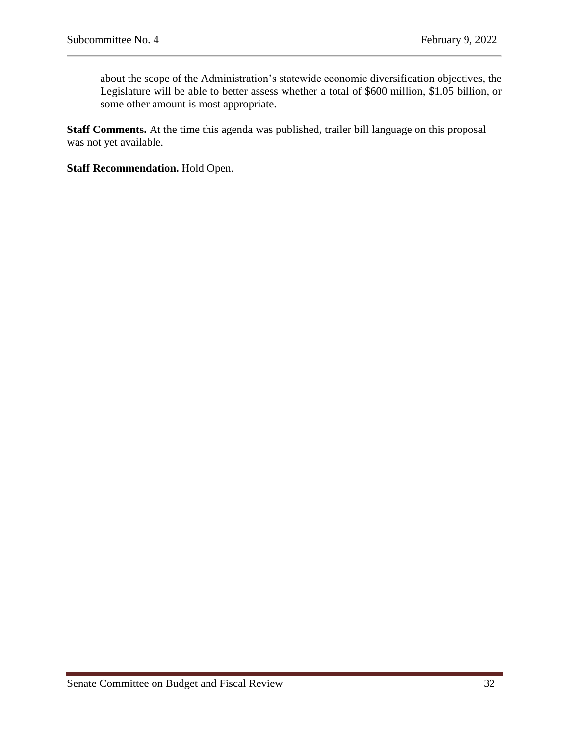about the scope of the Administration's statewide economic diversification objectives, the Legislature will be able to better assess whether a total of \$600 million, \$1.05 billion, or some other amount is most appropriate.

**Staff Comments.** At the time this agenda was published, trailer bill language on this proposal was not yet available.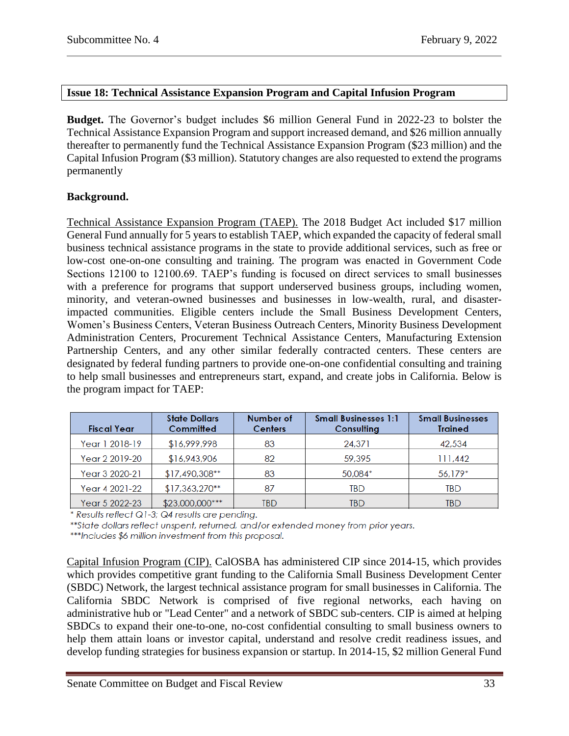# <span id="page-32-0"></span>**Issue 18: Technical Assistance Expansion Program and Capital Infusion Program**

**Budget.** The Governor's budget includes \$6 million General Fund in 2022-23 to bolster the Technical Assistance Expansion Program and support increased demand, and \$26 million annually thereafter to permanently fund the Technical Assistance Expansion Program (\$23 million) and the Capital Infusion Program (\$3 million). Statutory changes are also requested to extend the programs permanently

# **Background.**

Technical Assistance Expansion Program (TAEP). The 2018 Budget Act included \$17 million General Fund annually for 5 years to establish TAEP, which expanded the capacity of federal small business technical assistance programs in the state to provide additional services, such as free or low-cost one-on-one consulting and training. The program was enacted in Government Code Sections 12100 to 12100.69. TAEP's funding is focused on direct services to small businesses with a preference for programs that support underserved business groups, including women, minority, and veteran-owned businesses and businesses in low-wealth, rural, and disasterimpacted communities. Eligible centers include the Small Business Development Centers, Women's Business Centers, Veteran Business Outreach Centers, Minority Business Development Administration Centers, Procurement Technical Assistance Centers, Manufacturing Extension Partnership Centers, and any other similar federally contracted centers. These centers are designated by federal funding partners to provide one-on-one confidential consulting and training to help small businesses and entrepreneurs start, expand, and create jobs in California. Below is the program impact for TAEP:

| <b>Fiscal Year</b> | <b>State Dollars</b><br>Committed | Number of<br><b>Centers</b> | <b>Small Businesses 1:1</b><br>Consulting | <b>Small Businesses</b><br><b>Trained</b> |
|--------------------|-----------------------------------|-----------------------------|-------------------------------------------|-------------------------------------------|
| Year 1 2018-19     | \$16,999,998                      | 83                          | 24,371                                    | 42,534                                    |
| Year 2 2019-20     | \$16,943,906                      | 82                          | 59,395                                    | 111,442                                   |
| Year 3 2020-21     | $$17,490,308**$                   | 83                          | 50,084*                                   | 56,179*                                   |
| Year 4 2021-22     | $$17,363,270**$                   | 87                          | TBD                                       | TBD                                       |
| Year 5 2022-23     | $$23,000,000$ ***                 | TBD                         | TBD                                       | TBD                                       |

\* Results reflect Q1-3; Q4 results are pending.

\*\*State dollars reflect unspent, returned, and/or extended money from prior years.

\*\*\*Includes \$6 million investment from this proposal.

Capital Infusion Program (CIP). CalOSBA has administered CIP since 2014-15, which provides which provides competitive grant funding to the California Small Business Development Center (SBDC) Network, the largest technical assistance program for small businesses in California. The California SBDC Network is comprised of five regional networks, each having on administrative hub or "Lead Center" and a network of SBDC sub-centers. CIP is aimed at helping SBDCs to expand their one-to-one, no-cost confidential consulting to small business owners to help them attain loans or investor capital, understand and resolve credit readiness issues, and develop funding strategies for business expansion or startup. In 2014-15, \$2 million General Fund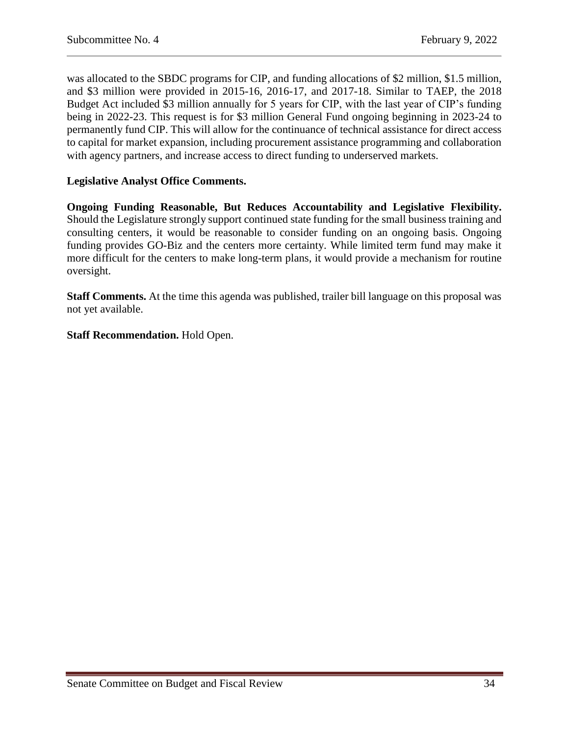was allocated to the SBDC programs for CIP, and funding allocations of \$2 million, \$1.5 million, and \$3 million were provided in 2015-16, 2016-17, and 2017-18. Similar to TAEP, the 2018 Budget Act included \$3 million annually for 5 years for CIP, with the last year of CIP's funding being in 2022-23. This request is for \$3 million General Fund ongoing beginning in 2023-24 to permanently fund CIP. This will allow for the continuance of technical assistance for direct access to capital for market expansion, including procurement assistance programming and collaboration with agency partners, and increase access to direct funding to underserved markets.

# **Legislative Analyst Office Comments.**

**Ongoing Funding Reasonable, But Reduces Accountability and Legislative Flexibility.**  Should the Legislature strongly support continued state funding for the small business training and consulting centers, it would be reasonable to consider funding on an ongoing basis. Ongoing funding provides GO-Biz and the centers more certainty. While limited term fund may make it more difficult for the centers to make long-term plans, it would provide a mechanism for routine oversight.

**Staff Comments.** At the time this agenda was published, trailer bill language on this proposal was not yet available.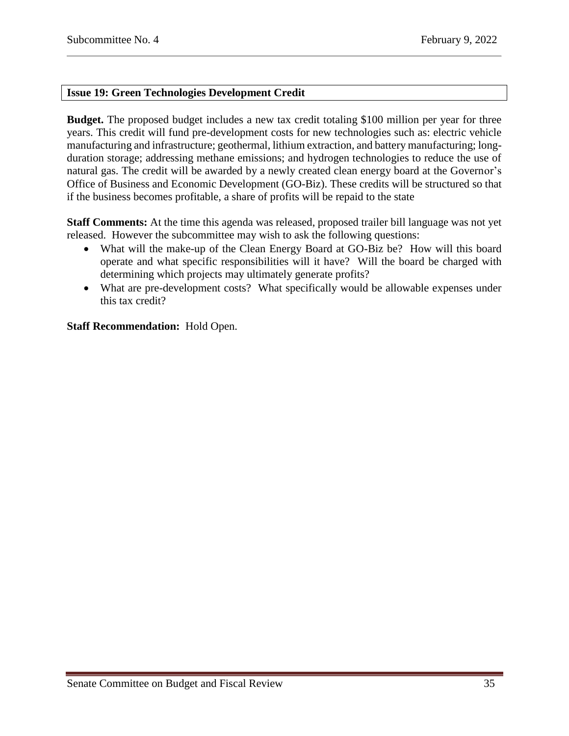# <span id="page-34-0"></span>**Issue 19: Green Technologies Development Credit**

**Budget.** The proposed budget includes a new tax credit totaling \$100 million per year for three years. This credit will fund pre-development costs for new technologies such as: electric vehicle manufacturing and infrastructure; geothermal, lithium extraction, and battery manufacturing; longduration storage; addressing methane emissions; and hydrogen technologies to reduce the use of natural gas. The credit will be awarded by a newly created clean energy board at the Governor's Office of Business and Economic Development (GO-Biz). These credits will be structured so that if the business becomes profitable, a share of profits will be repaid to the state

**Staff Comments:** At the time this agenda was released, proposed trailer bill language was not yet released. However the subcommittee may wish to ask the following questions:

- What will the make-up of the Clean Energy Board at GO-Biz be? How will this board operate and what specific responsibilities will it have? Will the board be charged with determining which projects may ultimately generate profits?
- What are pre-development costs? What specifically would be allowable expenses under this tax credit?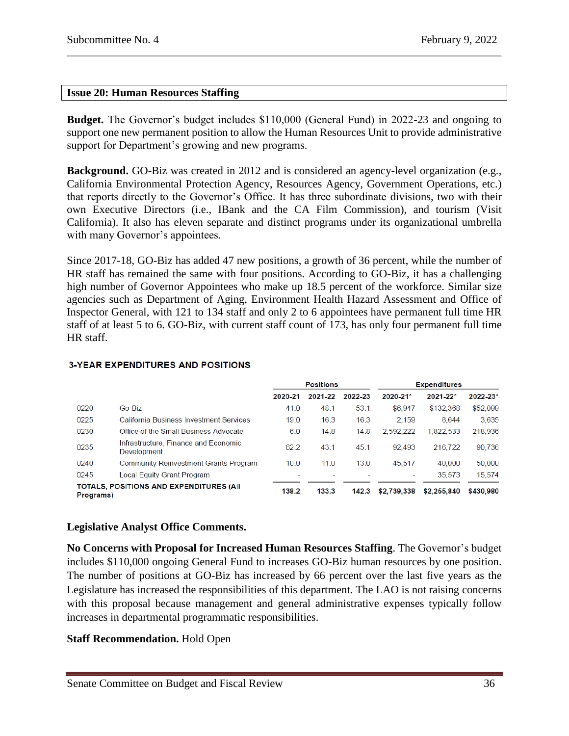## <span id="page-35-0"></span>**Issue 20: Human Resources Staffing**

**Budget.** The Governor's budget includes \$110,000 (General Fund) in 2022-23 and ongoing to support one new permanent position to allow the Human Resources Unit to provide administrative support for Department's growing and new programs.

**Background.** GO-Biz was created in 2012 and is considered an agency-level organization (e.g., California Environmental Protection Agency, Resources Agency, Government Operations, etc.) that reports directly to the Governor's Office. It has three subordinate divisions, two with their own Executive Directors (i.e., IBank and the CA Film Commission), and tourism (Visit California). It also has eleven separate and distinct programs under its organizational umbrella with many Governor's appointees.

Since 2017-18, GO-Biz has added 47 new positions, a growth of 36 percent, while the number of HR staff has remained the same with four positions. According to GO-Biz, it has a challenging high number of Governor Appointees who make up 18.5 percent of the workforce. Similar size agencies such as Department of Aging, Environment Health Hazard Assessment and Office of Inspector General, with 121 to 134 staff and only 2 to 6 appointees have permanent full time HR staff of at least 5 to 6. GO-Biz, with current staff count of 173, has only four permanent full time HR staff.

|                                                              |                                                     | <b>Positions</b> |         |         |             | <b>Expenditures</b> |           |
|--------------------------------------------------------------|-----------------------------------------------------|------------------|---------|---------|-------------|---------------------|-----------|
|                                                              |                                                     | 2020-21          | 2021-22 | 2022-23 | 2020-21*    | $2021 - 22*$        | 2022-23*  |
| 0220                                                         | Go-Biz                                              | 41.0             | 48.1    | 53.1    | \$6,947     | \$132.368           | \$52,099  |
| 0225                                                         | <b>California Business Investment Services</b>      | 19.0             | 16.3    | 16.3    | 2.159       | 8.644               | 3,635     |
| 0230                                                         | Office of the Small Business Advocate               | 6.0              | 14.8    | 14.8    | 2,592,222   | 1,822,533           | 218,936   |
| 0235                                                         | Infrastructure, Finance and Economic<br>Development | 62.2             | 43.1    | 45.1    | 92.493      | 216,722             | 90,736    |
| 0240                                                         | <b>Community Reinvestment Grants Program</b>        | 10.0             | 11.0    | 13.0    | 45,517      | 40,000              | 50,000    |
| 0245                                                         | Local Equity Grant Program                          |                  |         |         | ۰           | 35.573              | 15,574    |
| <b>TOTALS, POSITIONS AND EXPENDITURES (AII)</b><br>Programs) |                                                     | 138.2            | 133.3   | 142.3   | \$2,739,338 | \$2,255,840         | \$430,980 |

#### **3-YEAR EXPENDITURES AND POSITIONS**

#### **Legislative Analyst Office Comments.**

**No Concerns with Proposal for Increased Human Resources Staffing**. The Governor's budget includes \$110,000 ongoing General Fund to increases GO-Biz human resources by one position. The number of positions at GO-Biz has increased by 66 percent over the last five years as the Legislature has increased the responsibilities of this department. The LAO is not raising concerns with this proposal because management and general administrative expenses typically follow increases in departmental programmatic responsibilities.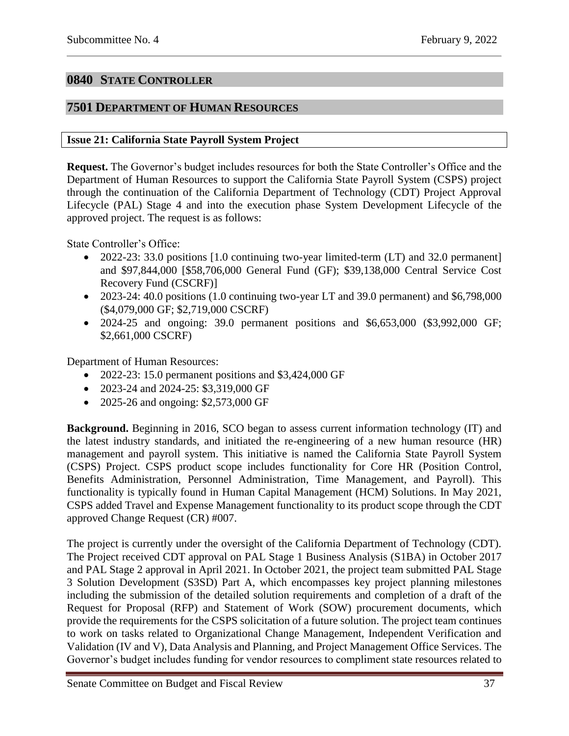# <span id="page-36-0"></span>**0840 STATE CONTROLLER**

# <span id="page-36-1"></span>**7501 DEPARTMENT OF HUMAN RESOURCES**

# <span id="page-36-2"></span>**Issue 21: California State Payroll System Project**

**Request.** The Governor's budget includes resources for both the State Controller's Office and the Department of Human Resources to support the California State Payroll System (CSPS) project through the continuation of the California Department of Technology (CDT) Project Approval Lifecycle (PAL) Stage 4 and into the execution phase System Development Lifecycle of the approved project. The request is as follows:

State Controller's Office:

- 2022-23: 33.0 positions [1.0 continuing two-year limited-term (LT) and 32.0 permanent] and \$97,844,000 [\$58,706,000 General Fund (GF); \$39,138,000 Central Service Cost Recovery Fund (CSCRF)]
- $\bullet$  2023-24: 40.0 positions (1.0 continuing two-year LT and 39.0 permanent) and \$6,798,000 (\$4,079,000 GF; \$2,719,000 CSCRF)
- 2024-25 and ongoing: 39.0 permanent positions and \$6,653,000 (\$3,992,000 GF; \$2,661,000 CSCRF)

Department of Human Resources:

- $\bullet$  2022-23: 15.0 permanent positions and \$3,424,000 GF
- 2023-24 and 2024-25: \$3,319,000 GF
- 2025-26 and ongoing: \$2,573,000 GF

**Background.** Beginning in 2016, SCO began to assess current information technology (IT) and the latest industry standards, and initiated the re-engineering of a new human resource (HR) management and payroll system. This initiative is named the California State Payroll System (CSPS) Project. CSPS product scope includes functionality for Core HR (Position Control, Benefits Administration, Personnel Administration, Time Management, and Payroll). This functionality is typically found in Human Capital Management (HCM) Solutions. In May 2021, CSPS added Travel and Expense Management functionality to its product scope through the CDT approved Change Request (CR) #007.

The project is currently under the oversight of the California Department of Technology (CDT). The Project received CDT approval on PAL Stage 1 Business Analysis (S1BA) in October 2017 and PAL Stage 2 approval in April 2021. In October 2021, the project team submitted PAL Stage 3 Solution Development (S3SD) Part A, which encompasses key project planning milestones including the submission of the detailed solution requirements and completion of a draft of the Request for Proposal (RFP) and Statement of Work (SOW) procurement documents, which provide the requirements for the CSPS solicitation of a future solution. The project team continues to work on tasks related to Organizational Change Management, Independent Verification and Validation (IV and V), Data Analysis and Planning, and Project Management Office Services. The Governor's budget includes funding for vendor resources to compliment state resources related to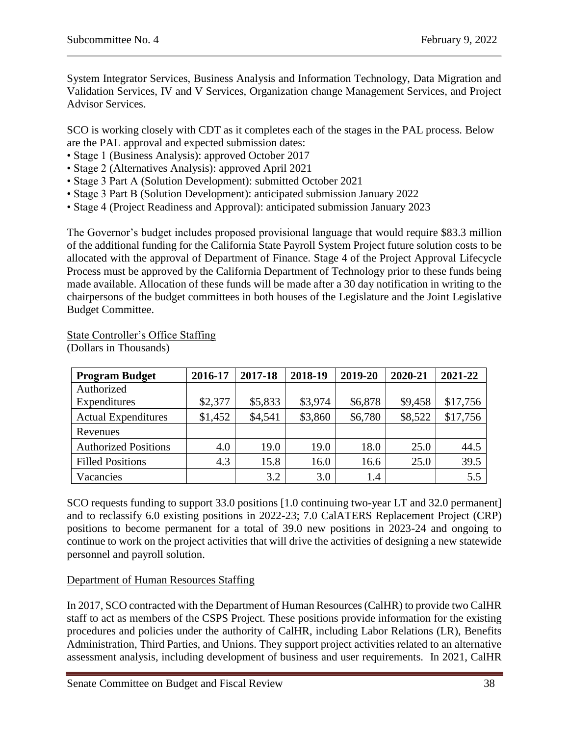System Integrator Services, Business Analysis and Information Technology, Data Migration and Validation Services, IV and V Services, Organization change Management Services, and Project Advisor Services.

SCO is working closely with CDT as it completes each of the stages in the PAL process. Below are the PAL approval and expected submission dates:

- Stage 1 (Business Analysis): approved October 2017
- Stage 2 (Alternatives Analysis): approved April 2021
- Stage 3 Part A (Solution Development): submitted October 2021
- Stage 3 Part B (Solution Development): anticipated submission January 2022
- Stage 4 (Project Readiness and Approval): anticipated submission January 2023

The Governor's budget includes proposed provisional language that would require \$83.3 million of the additional funding for the California State Payroll System Project future solution costs to be allocated with the approval of Department of Finance. Stage 4 of the Project Approval Lifecycle Process must be approved by the California Department of Technology prior to these funds being made available. Allocation of these funds will be made after a 30 day notification in writing to the chairpersons of the budget committees in both houses of the Legislature and the Joint Legislative Budget Committee.

| <b>Program Budget</b>       | 2016-17 | 2017-18 | 2018-19 | 2019-20 | 2020-21 | 2021-22  |
|-----------------------------|---------|---------|---------|---------|---------|----------|
| Authorized                  |         |         |         |         |         |          |
| Expenditures                | \$2,377 | \$5,833 | \$3,974 | \$6,878 | \$9,458 | \$17,756 |
| <b>Actual Expenditures</b>  | \$1,452 | \$4,541 | \$3,860 | \$6,780 | \$8,522 | \$17,756 |
| Revenues                    |         |         |         |         |         |          |
| <b>Authorized Positions</b> | 4.0     | 19.0    | 19.0    | 18.0    | 25.0    | 44.5     |
| <b>Filled Positions</b>     | 4.3     | 15.8    | 16.0    | 16.6    | 25.0    | 39.5     |
| Vacancies                   |         | 3.2     | 3.0     | 1.4     |         | 5.5      |

State Controller's Office Staffing

(Dollars in Thousands)

SCO requests funding to support 33.0 positions [1.0 continuing two-year LT and 32.0 permanent] and to reclassify 6.0 existing positions in 2022-23; 7.0 CalATERS Replacement Project (CRP) positions to become permanent for a total of 39.0 new positions in 2023-24 and ongoing to continue to work on the project activities that will drive the activities of designing a new statewide personnel and payroll solution.

# Department of Human Resources Staffing

In 2017, SCO contracted with the Department of Human Resources (CalHR) to provide two CalHR staff to act as members of the CSPS Project. These positions provide information for the existing procedures and policies under the authority of CalHR, including Labor Relations (LR), Benefits Administration, Third Parties, and Unions. They support project activities related to an alternative assessment analysis, including development of business and user requirements. In 2021, CalHR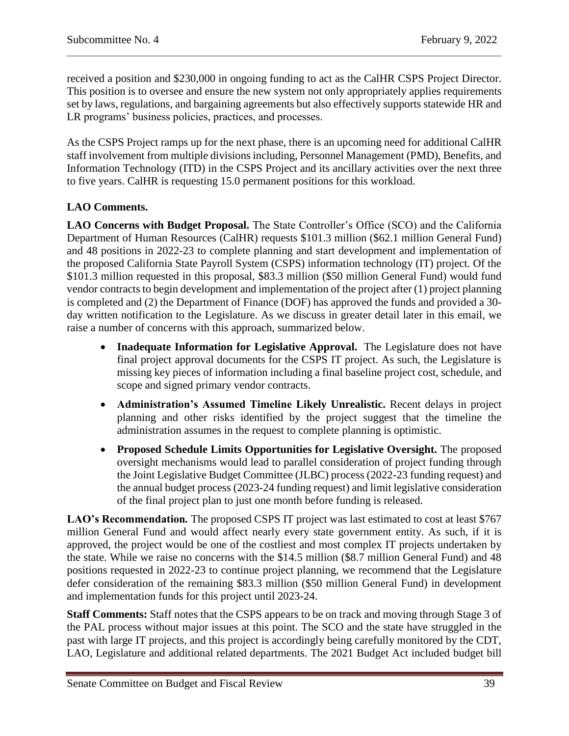received a position and \$230,000 in ongoing funding to act as the CalHR CSPS Project Director. This position is to oversee and ensure the new system not only appropriately applies requirements set by laws, regulations, and bargaining agreements but also effectively supports statewide HR and LR programs' business policies, practices, and processes.

As the CSPS Project ramps up for the next phase, there is an upcoming need for additional CalHR staff involvement from multiple divisions including, Personnel Management (PMD), Benefits, and Information Technology (ITD) in the CSPS Project and its ancillary activities over the next three to five years. CalHR is requesting 15.0 permanent positions for this workload.

# **LAO Comments.**

**LAO Concerns with Budget Proposal.** The State Controller's Office (SCO) and the California Department of Human Resources (CalHR) [requests](https://esd.dof.ca.gov/Documents/bcp/2223/FY2223_ORG7501_BCP5167.pdf) \$101.3 million (\$62.1 million General Fund) and 48 positions in 2022-23 to complete planning and start development and implementation of the proposed California State Payroll System (CSPS) information technology (IT) project. Of the \$101.3 million requested in this proposal, \$83.3 million (\$50 million General Fund) would fund vendor contracts to begin development and implementation of the project after (1) project planning is completed and (2) the Department of Finance (DOF) has approved the funds and provided a 30 day written notification to the Legislature. As we discuss in greater detail later in this email, we raise a number of concerns with this approach, summarized below.

- **Inadequate Information for Legislative Approval.** The Legislature does not have final project approval documents for the CSPS IT project. As such, the Legislature is missing key pieces of information including a final baseline project cost, schedule, and scope and signed primary vendor contracts.
- **Administration's Assumed Timeline Likely Unrealistic.** Recent delays in project planning and other risks identified by the project suggest that the timeline the administration assumes in the request to complete planning is optimistic.
- **Proposed Schedule Limits Opportunities for Legislative Oversight.** The proposed oversight mechanisms would lead to parallel consideration of project funding through the Joint Legislative Budget Committee (JLBC) process (2022-23 funding request) and the annual budget process (2023-24 funding request) and limit legislative consideration of the final project plan to just one month before funding is released.

LAO's Recommendation. The proposed CSPS IT project was last estimated to cost at least \$767 million General Fund and would affect nearly every state government entity. As such, if it is approved, the project would be one of the costliest and most complex IT projects undertaken by the state. While we raise no concerns with the \$14.5 million (\$8.7 million General Fund) and 48 positions requested in 2022-23 to continue project planning, we recommend that the Legislature defer consideration of the remaining \$83.3 million (\$50 million General Fund) in development and implementation funds for this project until 2023-24.

**Staff Comments:** Staff notes that the CSPS appears to be on track and moving through Stage 3 of the PAL process without major issues at this point. The SCO and the state have struggled in the past with large IT projects, and this project is accordingly being carefully monitored by the CDT, LAO, Legislature and additional related departments. The 2021 Budget Act included budget bill